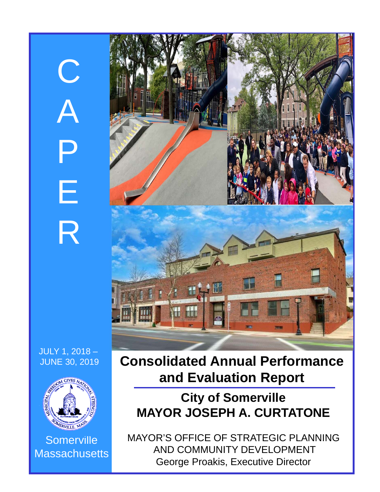# C A P E R



# JULY 1, 2018 –



**Somerville Massachusetts** 

JUNE 30, 2019 **Consolidated Annual Performance and Evaluation Report**

# **City of Somerville MAYOR JOSEPH A. CURTATONE**

MAYOR'S OFFICE OF STRATEGIC PLANNING AND COMMUNITY DEVELOPMENT George Proakis, Executive Director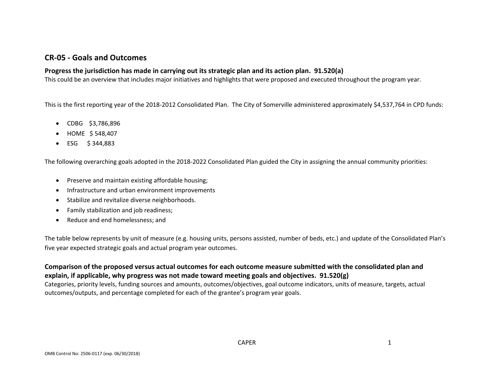# **CR‐05 ‐ Goals and Outcomes**

# **Progress the jurisdiction has made in carrying out its strategic plan and its action plan. 91.520(a)**

This could be an overview that includes major initiatives and highlights that were proposed and executed throughout the program year.

This is the first reporting year of the 2018‐2012 Consolidated Plan. The City of Somerville administered approximately \$4,537,764 in CPD funds:

- CDBG \$3,786,896
- $\bullet$ • HOME \$548,407
- $\bullet$ ESG \$ 344,883

The following overarching goals adopted in the 2018‐2022 Consolidated Plan guided the City in assigning the annual community priorities:

- $\bullet$ Preserve and maintain existing affordable housing;
- $\bullet$ **•** Infrastructure and urban environment improvements
- $\bullet$ **•** Stabilize and revitalize diverse neighborhoods.
- $\bullet$ Family stabilization and job readiness;
- $\bullet$ • Reduce and end homelessness; and

The table below represents by unit of measure (e.g. housing units, persons assisted, number of beds, etc.) and update of the Consolidated Plan's five year expected strategic goals and actual program year outcomes.

# Comparison of the proposed versus actual outcomes for each outcome measure submitted with the consolidated plan and **explain, if applicable, why progress was not made toward meeting goals and objectives. 91.520(g)**

Categories, priority levels, funding sources and amounts, outcomes/objectives, goal outcome indicators, units of measure, targets, actual outcomes/outputs, and percentage completed for each of the grantee's program year goals.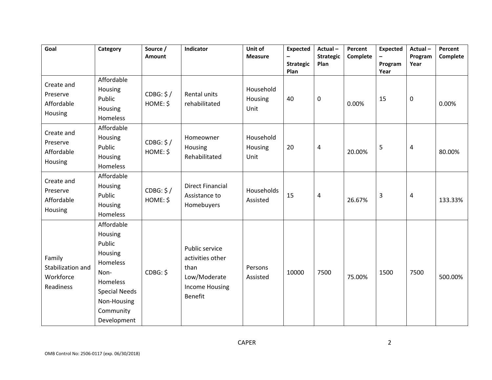| Goal                                                  | Category                                                                                                                                      | Source /<br>Amount    | Indicator                                                                                             | Unit of<br><b>Measure</b>    | <b>Expected</b><br><b>Strategic</b> | Actual-<br><b>Strategic</b><br>Plan | Percent<br>Complete | <b>Expected</b><br>Program | Actual-<br>Program<br>Year | Percent<br>Complete |
|-------------------------------------------------------|-----------------------------------------------------------------------------------------------------------------------------------------------|-----------------------|-------------------------------------------------------------------------------------------------------|------------------------------|-------------------------------------|-------------------------------------|---------------------|----------------------------|----------------------------|---------------------|
| Create and<br>Preserve<br>Affordable<br>Housing       | Affordable<br>Housing<br>Public<br>Housing<br>Homeless                                                                                        | CDBG: \$/<br>HOME: \$ | Rental units<br>rehabilitated                                                                         | Household<br>Housing<br>Unit | Plan<br>40                          | $\mathbf 0$                         | 0.00%               | Year<br>15                 | $\mathbf 0$                | 0.00%               |
| Create and<br>Preserve<br>Affordable<br>Housing       | Affordable<br>Housing<br>Public<br>Housing<br>Homeless                                                                                        | CDBG: \$/<br>HOME: \$ | Homeowner<br>Housing<br>Rehabilitated                                                                 | Household<br>Housing<br>Unit | 20                                  | $\overline{\mathbf{4}}$             | 20.00%              | 5                          | 4                          | 80.00%              |
| Create and<br>Preserve<br>Affordable<br>Housing       | Affordable<br>Housing<br>Public<br>Housing<br>Homeless                                                                                        | CDBG: \$/<br>HOME: \$ | <b>Direct Financial</b><br>Assistance to<br>Homebuyers                                                | Households<br>Assisted       | 15                                  | 4                                   | 26.67%              | 3                          | 4                          | 133.33%             |
| Family<br>Stabilization and<br>Workforce<br>Readiness | Affordable<br>Housing<br>Public<br>Housing<br>Homeless<br>Non-<br>Homeless<br><b>Special Needs</b><br>Non-Housing<br>Community<br>Development | CDBG: \$              | Public service<br>activities other<br>than<br>Low/Moderate<br><b>Income Housing</b><br><b>Benefit</b> | Persons<br>Assisted          | 10000                               | 7500                                | 75.00%              | 1500                       | 7500                       | 500.00%             |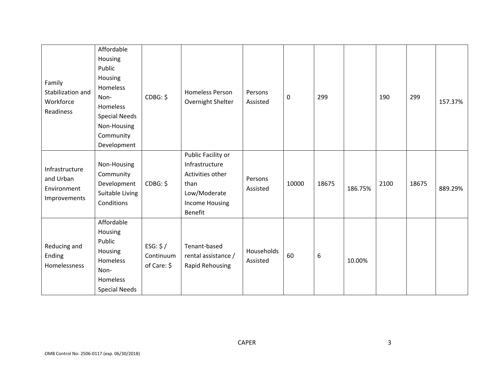| Family<br>Stabilization and<br>Workforce<br>Readiness      | Affordable<br>Housing<br>Public<br>Housing<br>Homeless<br>Non-<br>Homeless<br><b>Special Needs</b><br>Non-Housing<br>Community<br>Development | CDBG: \$                              | <b>Homeless Person</b><br>Overnight Shelter                                                                                 | Persons<br>Assisted    | 0     | 299   |         | 190  | 299   | 157.37% |
|------------------------------------------------------------|-----------------------------------------------------------------------------------------------------------------------------------------------|---------------------------------------|-----------------------------------------------------------------------------------------------------------------------------|------------------------|-------|-------|---------|------|-------|---------|
| Infrastructure<br>and Urban<br>Environment<br>Improvements | Non-Housing<br>Community<br>Development<br>Suitable Living<br>Conditions                                                                      | CDBG: \$                              | Public Facility or<br>Infrastructure<br>Activities other<br>than<br>Low/Moderate<br><b>Income Housing</b><br><b>Benefit</b> | Persons<br>Assisted    | 10000 | 18675 | 186.75% | 2100 | 18675 | 889.29% |
| Reducing and<br>Ending<br>Homelessness                     | Affordable<br>Housing<br>Public<br>Housing<br>Homeless<br>Non-<br>Homeless<br><b>Special Needs</b>                                            | ESG: $$/$<br>Continuum<br>of Care: \$ | Tenant-based<br>rental assistance /<br>Rapid Rehousing                                                                      | Households<br>Assisted | 60    | 6     | 10.00%  |      |       |         |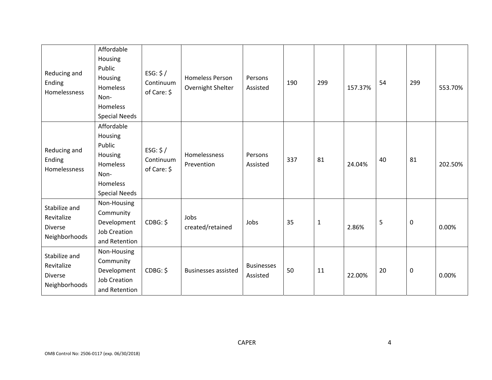| Reducing and<br>Ending<br>Homelessness                         | Affordable<br>Housing<br>Public<br>Housing<br>Homeless<br>Non-<br>Homeless<br><b>Special Needs</b> | ESG: $$/$<br>Continuum<br>of Care: \$ | <b>Homeless Person</b><br>Overnight Shelter | Persons<br>Assisted           | 190 | 299          | 157.37% | 54 | 299         | 553.70% |
|----------------------------------------------------------------|----------------------------------------------------------------------------------------------------|---------------------------------------|---------------------------------------------|-------------------------------|-----|--------------|---------|----|-------------|---------|
| Reducing and<br>Ending<br>Homelessness                         | Affordable<br>Housing<br>Public<br>Housing<br>Homeless<br>Non-<br>Homeless<br><b>Special Needs</b> | ESG: $$/$<br>Continuum<br>of Care: \$ | Homelessness<br>Prevention                  | Persons<br>Assisted           | 337 | 81           | 24.04%  | 40 | 81          | 202.50% |
| Stabilize and<br>Revitalize<br><b>Diverse</b><br>Neighborhoods | Non-Housing<br>Community<br>Development<br><b>Job Creation</b><br>and Retention                    | CDBG: \$                              | Jobs<br>created/retained                    | Jobs                          | 35  | $\mathbf{1}$ | 2.86%   | 5  | 0           | 0.00%   |
| Stabilize and<br>Revitalize<br><b>Diverse</b><br>Neighborhoods | Non-Housing<br>Community<br>Development<br><b>Job Creation</b><br>and Retention                    | CDBG: \$                              | <b>Businesses assisted</b>                  | <b>Businesses</b><br>Assisted | 50  | 11           | 22.00%  | 20 | $\mathbf 0$ | 0.00%   |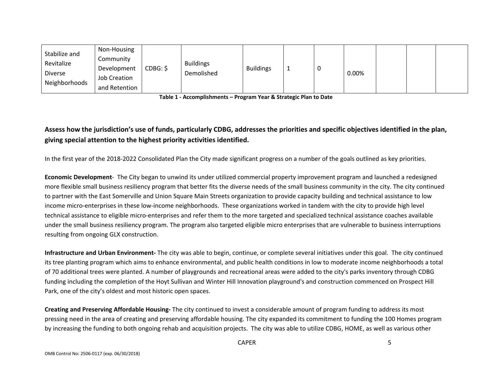| Stabilize and  | Non-Housing         |          |                  |                  |    |       |  |  |
|----------------|---------------------|----------|------------------|------------------|----|-------|--|--|
| Revitalize     | Community           |          | <b>Buildings</b> |                  |    |       |  |  |
| <b>Diverse</b> | Development         | CDBG: \$ | Demolished       | <b>Buildings</b> | л. | 0.00% |  |  |
| Neighborhoods  | <b>Job Creation</b> |          |                  |                  |    |       |  |  |
|                | and Retention       |          |                  |                  |    |       |  |  |

# Assess how the jurisdiction's use of funds, particularly CDBG, addresses the priorities and specific objectives identified in the plan, **giving special attention to the highest priority activities identified.**

In the first year of the 2018‐2022 Consolidated Plan the City made significant progress on <sup>a</sup> number of the goals outlined as key priorities.

**Economic Development**‐ The City began to unwind its under utilized commercial property improvement program and launched <sup>a</sup> redesigned more flexible small business resiliency program that better fits the diverse needs of the small business community in the city. The city continued to partner with the East Somerville and Union Square Main Streets organization to provide capacity building and technical assistance to low income micro‐enterprises in these low‐income neighborhoods. These organizations worked in tandem with the city to provide high level technical assistance to eligible micro‐enterprises and refer them to the more targeted and specialized technical assistance coaches available under the small business resiliency program. The program also targeted eligible micro enterprises that are vulnerable to business interruptions resulting from ongoing GLX construction.

**Infrastructure and Urban Environment‐** The city was able to begin, continue, or complete several initiatives under this goal. The city continued its tree planting program which aims to enhance environmental, and public health conditions in low to moderate income neighborhoods <sup>a</sup> total of 70 additional trees were planted. A number of playgrounds and recreational areas were added to the city's parks inventory through CDBG funding including the completion of the Hoyt Sullivan and Winter Hill Innovation playground's and construction commenced on Prospect Hill Park, one of the city's oldest and most historic open spaces.

**Creating and Preserving Affordable Housing‐** The city continued to invest <sup>a</sup> considerable amount of program funding to address its most pressing need in the area of creating and preserving affordable housing. The city expanded its commitment to funding the 100 Homes program by increasing the funding to both ongoing rehab and acquisition projects. The city was able to utilize CDBG, HOME, as well as various other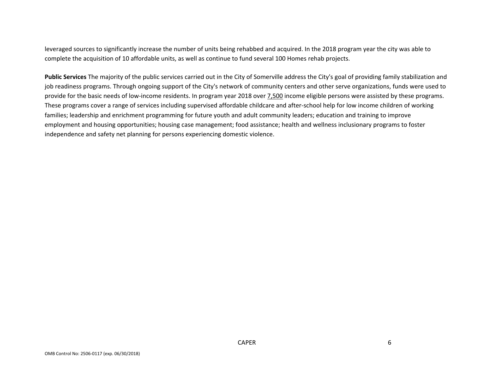leveraged sources to significantly increase the number of units being rehabbed and acquired. In the 2018 program year the city was able to complete the acquisition of 10 affordable units, as well as continue to fund several 100 Homes rehab projects.

**Public Services** The majority of the public services carried out in the City of Somerville address the City's goal of providing family stabilization and job readiness programs. Through ongoing support of the City's network of community centers and other serve organizations, funds were used to provide for the basic needs of low-income residents. In program year 2018 over 7,500 income eligible persons were assisted by these programs. These programs cover <sup>a</sup> range of services including supervised affordable childcare and after‐school help for low income children of working families; leadership and enrichment programming for future youth and adult community leaders; education and training to improve employment and housing opportunities; housing case management; food assistance; health and wellness inclusionary programs to foster independence and safety net planning for persons experiencing domestic violence.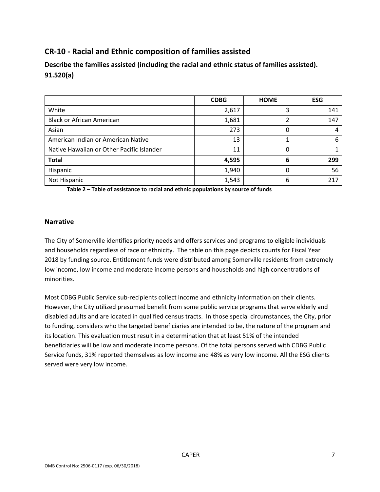# **CR‐10 ‐ Racial and Ethnic composition of families assisted**

**Describe the families assisted (including the racial and ethnic status of families assisted). 91.520(a)** 

|                                           | <b>CDBG</b> | <b>HOME</b> | <b>ESG</b> |
|-------------------------------------------|-------------|-------------|------------|
| White                                     | 2,617       | 3           | 141        |
| <b>Black or African American</b>          | 1,681       | ำ           | 147        |
| Asian                                     | 273         | 0           |            |
| American Indian or American Native        | 13          |             | b          |
| Native Hawaiian or Other Pacific Islander | 11          | 0           |            |
| <b>Total</b>                              | 4,595       | 6           | 299        |
| Hispanic                                  | 1,940       | 0           | 56         |
| Not Hispanic                              | 1,543       | 6           | 217        |

**Table 2 – Table of assistance to racial and ethnic populations by source of funds** 

#### **Narrative**

The City of Somerville identifies priority needs and offers services and programs to eligible individuals and households regardless of race or ethnicity. The table on this page depicts counts for Fiscal Year 2018 by funding source. Entitlement funds were distributed among Somerville residents from extremely low income, low income and moderate income persons and households and high concentrations of minorities.

Most CDBG Public Service sub‐recipients collect income and ethnicity information on their clients. However, the City utilized presumed benefit from some public service programs that serve elderly and disabled adults and are located in qualified census tracts. In those special circumstances, the City, prior to funding, considers who the targeted beneficiaries are intended to be, the nature of the program and its location. This evaluation must result in a determination that at least 51% of the intended beneficiaries will be low and moderate income persons. Of the total persons served with CDBG Public Service funds, 31% reported themselves as low income and 48% as very low income. All the ESG clients served were very low income.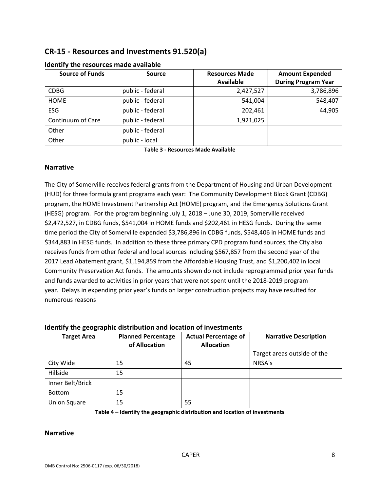# **CR‐15 ‐ Resources and Investments 91.520(a)**

| <b>Source of Funds</b> | <b>Source</b>    | <b>Resources Made</b> | <b>Amount Expended</b>     |
|------------------------|------------------|-----------------------|----------------------------|
|                        |                  | Available             | <b>During Program Year</b> |
| <b>CDBG</b>            | public - federal | 2,427,527             | 3,786,896                  |
| <b>HOME</b>            | public - federal | 541,004               | 548,407                    |
| ESG                    | public - federal | 202,461               | 44,905                     |
| Continuum of Care      | public - federal | 1,921,025             |                            |
| Other                  | public - federal |                       |                            |
| Other                  | public - local   |                       |                            |

#### **Identify the resources made available**

**Table 3 ‐ Resources Made Available**

#### **Narrative**

The City of Somerville receives federal grants from the Department of Housing and Urban Development (HUD) for three formula grant programs each year: The Community Development Block Grant (CDBG) program, the HOME Investment Partnership Act (HOME) program, and the Emergency Solutions Grant (HESG) program. For the program beginning July 1, 2018 – June 30, 2019, Somerville received \$2,472,527, in CDBG funds, \$541,004 in HOME funds and \$202,461 in HESG funds. During the same time period the City of Somerville expended \$3,786,896 in CDBG funds, \$548,406 in HOME funds and \$344,883 in HESG funds. In addition to these three primary CPD program fund sources, the City also receives funds from other federal and local sources including \$567,857 from the second year of the 2017 Lead Abatement grant, \$1,194,859 from the Affordable Housing Trust, and \$1,200,402 in local Community Preservation Act funds. The amounts shown do not include reprogrammed prior year funds and funds awarded to activities in prior years that were not spent until the 2018-2019 program year. Delays in expending prior year's funds on larger construction projects may have resulted for numerous reasons

#### **Identify the geographic distribution and location of investments**

| <b>Target Area</b>  | <b>Planned Percentage</b><br>of Allocation | <b>Actual Percentage of</b><br><b>Allocation</b> | <b>Narrative Description</b> |
|---------------------|--------------------------------------------|--------------------------------------------------|------------------------------|
|                     |                                            |                                                  | Target areas outside of the  |
| City Wide           | 15                                         | 45                                               | NRSA's                       |
| Hillside            | 15                                         |                                                  |                              |
| Inner Belt/Brick    |                                            |                                                  |                              |
| <b>Bottom</b>       | 15                                         |                                                  |                              |
| <b>Union Square</b> | 15                                         | 55                                               |                              |

**Table 4 – Identify the geographic distribution and location of investments**

# **Narrative**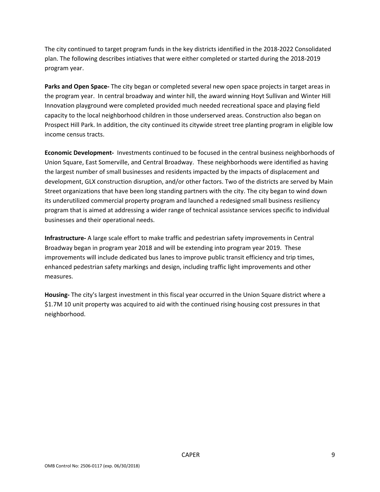The city continued to target program funds in the key districts identified in the 2018‐2022 Consolidated plan. The following describes intiatives that were either completed or started during the 2018‐2019 program year.

**Parks and Open Space‐** The city began or completed several new open space projects in target areas in the program year. In central broadway and winter hill, the award winning Hoyt Sullivan and Winter Hill Innovation playground were completed provided much needed recreational space and playing field capacity to the local neighborhood children in those underserved areas. Construction also began on Prospect Hill Park. In addition, the city continued its citywide street tree planting program in eligible low income census tracts.

**Economic Development‐** Investments continued to be focused in the central business neighborhoods of Union Square, East Somerville, and Central Broadway. These neighborhoods were identified as having the largest number of small businesses and residents impacted by the impacts of displacement and development, GLX construction disruption, and/or other factors. Two of the districts are served by Main Street organizations that have been long standing partners with the city. The city began to wind down its underutilized commercial property program and launched a redesigned small business resiliency program that is aimed at addressing a wider range of technical assistance services specific to individual businesses and their operational needs.

**Infrastructure‐** A large scale effort to make traffic and pedestrian safety improvements in Central Broadway began in program year 2018 and will be extending into program year 2019. These improvements will include dedicated bus lanes to improve public transit efficiency and trip times, enhanced pedestrian safety markings and design, including traffic light improvements and other measures.

**Housing‐** The city's largest investment in this fiscal year occurred in the Union Square district where a \$1.7M 10 unit property was acquired to aid with the continued rising housing cost pressures in that neighborhood.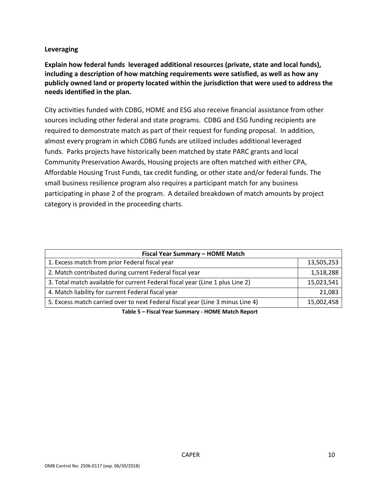#### **Leveraging**

**Explain how federal funds leveraged additional resources (private, state and local funds), including a description of how matching requirements were satisfied, as well as how any publicly owned land or property located within the jurisdiction that were used to address the needs identified in the plan.**

City activities funded with CDBG, HOME and ESG also receive financial assistance from other sources including other federal and state programs. CDBG and ESG funding recipients are required to demonstrate match as part of their request for funding proposal. In addition, almost every program in which CDBG funds are utilized includes additional leveraged funds. Parks projects have historically been matched by state PARC grants and local Community Preservation Awards, Housing projects are often matched with either CPA, Affordable Housing Trust Funds, tax credit funding, or other state and/or federal funds. The small business resilience program also requires a participant match for any business participating in phase 2 of the program. A detailed breakdown of match amounts by project category is provided in the proceeding charts.

| Fiscal Year Summary - HOME Match                                               |            |  |  |  |  |
|--------------------------------------------------------------------------------|------------|--|--|--|--|
| 1. Excess match from prior Federal fiscal year                                 | 13,505,253 |  |  |  |  |
| 2. Match contributed during current Federal fiscal year                        | 1,518,288  |  |  |  |  |
| 3. Total match available for current Federal fiscal year (Line 1 plus Line 2)  | 15,023,541 |  |  |  |  |
| 4. Match liability for current Federal fiscal year                             | 21,083     |  |  |  |  |
| 5. Excess match carried over to next Federal fiscal year (Line 3 minus Line 4) | 15,002,458 |  |  |  |  |
| Table E - Fiscal Vear Summary - HOME Match Penert                              |            |  |  |  |  |

**Table 5 – Fiscal Year Summary ‐ HOME Match Report**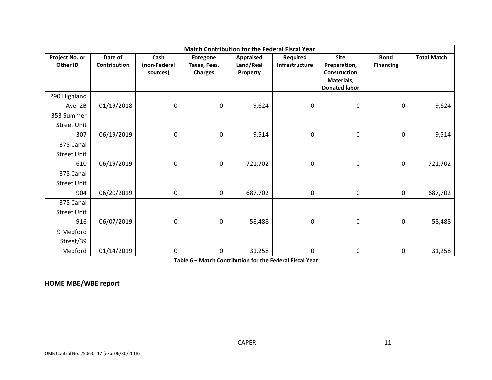|                            | <b>Match Contribution for the Federal Fiscal Year</b> |                                  |                                            |                                    |                            |                                                                                          |                                 |                    |  |
|----------------------------|-------------------------------------------------------|----------------------------------|--------------------------------------------|------------------------------------|----------------------------|------------------------------------------------------------------------------------------|---------------------------------|--------------------|--|
| Project No. or<br>Other ID | Date of<br>Contribution                               | Cash<br>(non-Federal<br>sources) | Foregone<br>Taxes, Fees,<br><b>Charges</b> | Appraised<br>Land/Real<br>Property | Required<br>Infrastructure | <b>Site</b><br>Preparation,<br><b>Construction</b><br>Materials,<br><b>Donated labor</b> | <b>Bond</b><br><b>Financing</b> | <b>Total Match</b> |  |
| 290 Highland               |                                                       |                                  |                                            |                                    |                            |                                                                                          |                                 |                    |  |
| Ave. 2B                    | 01/19/2018                                            | 0                                | $\mathbf 0$                                | 9,624                              | 0                          | 0                                                                                        | 0                               | 9,624              |  |
| 353 Summer                 |                                                       |                                  |                                            |                                    |                            |                                                                                          |                                 |                    |  |
| <b>Street Unit</b>         |                                                       |                                  |                                            |                                    |                            |                                                                                          |                                 |                    |  |
| 307                        | 06/19/2019                                            | 0                                | $\mathbf 0$                                | 9,514                              | $\mathbf 0$                | 0                                                                                        | 0                               | 9,514              |  |
| 375 Canal                  |                                                       |                                  |                                            |                                    |                            |                                                                                          |                                 |                    |  |
| <b>Street Unit</b>         |                                                       |                                  |                                            |                                    |                            |                                                                                          |                                 |                    |  |
| 610                        | 06/19/2019                                            | 0                                | $\boldsymbol{0}$                           | 721,702                            | $\mathbf 0$                | 0                                                                                        | 0                               | 721,702            |  |
| 375 Canal                  |                                                       |                                  |                                            |                                    |                            |                                                                                          |                                 |                    |  |
| <b>Street Unit</b>         |                                                       |                                  |                                            |                                    |                            |                                                                                          |                                 |                    |  |
| 904                        | 06/20/2019                                            | 0                                | $\mathbf 0$                                | 687,702                            | 0                          | 0                                                                                        | 0                               | 687,702            |  |
| 375 Canal                  |                                                       |                                  |                                            |                                    |                            |                                                                                          |                                 |                    |  |
| <b>Street Unit</b>         |                                                       |                                  |                                            |                                    |                            |                                                                                          |                                 |                    |  |
| 916                        | 06/07/2019                                            | 0                                | $\mathbf 0$                                | 58,488                             | 0                          | 0                                                                                        | 0                               | 58,488             |  |
| 9 Medford                  |                                                       |                                  |                                            |                                    |                            |                                                                                          |                                 |                    |  |
| Street/39                  |                                                       |                                  |                                            |                                    |                            |                                                                                          |                                 |                    |  |
| Medford                    | 01/14/2019                                            | 0                                | $\mathbf 0$                                | 31,258                             | $\mathbf 0$                | 0                                                                                        | 0                               | 31,258             |  |

**Table 6 – Match Contribution for the Federal Fiscal Year**

#### **HOME MBE/WBE report**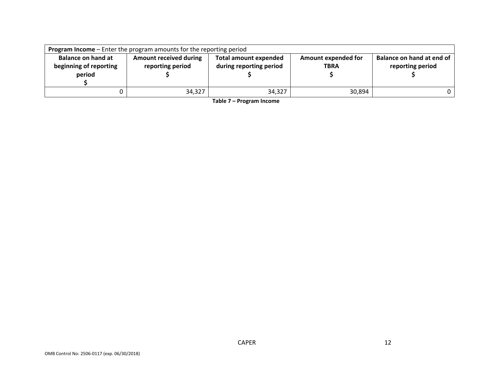| <b>Program Income</b> – Enter the program amounts for the reporting period |                                                   |                                                         |                                    |                                               |  |  |  |  |
|----------------------------------------------------------------------------|---------------------------------------------------|---------------------------------------------------------|------------------------------------|-----------------------------------------------|--|--|--|--|
| <b>Balance on hand at</b><br>beginning of reporting<br>period              | <b>Amount received during</b><br>reporting period | <b>Total amount expended</b><br>during reporting period | Amount expended for<br><b>TBRA</b> | Balance on hand at end of<br>reporting period |  |  |  |  |
|                                                                            | 34,327                                            | 34,327                                                  | 30,894                             |                                               |  |  |  |  |

**Table 7 – Program Income**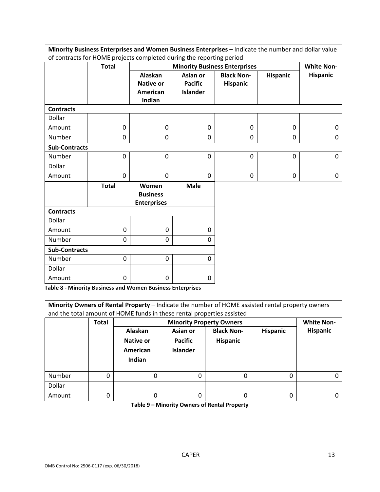|                      | Minority Business Enterprises and Women Business Enterprises - Indicate the number and dollar value |                    |                                      |                   |                 |                   |
|----------------------|-----------------------------------------------------------------------------------------------------|--------------------|--------------------------------------|-------------------|-----------------|-------------------|
|                      | of contracts for HOME projects completed during the reporting period                                |                    |                                      |                   |                 |                   |
|                      | <b>Total</b>                                                                                        |                    | <b>Minority Business Enterprises</b> |                   |                 | <b>White Non-</b> |
|                      |                                                                                                     | Alaskan            | <b>Asian or</b>                      | <b>Black Non-</b> | <b>Hispanic</b> | <b>Hispanic</b>   |
|                      |                                                                                                     | <b>Native or</b>   | <b>Pacific</b>                       | <b>Hispanic</b>   |                 |                   |
|                      |                                                                                                     | <b>American</b>    | <b>Islander</b>                      |                   |                 |                   |
|                      |                                                                                                     | Indian             |                                      |                   |                 |                   |
| <b>Contracts</b>     |                                                                                                     |                    |                                      |                   |                 |                   |
| Dollar               |                                                                                                     |                    |                                      |                   |                 |                   |
| Amount               | 0                                                                                                   | $\mathbf 0$        | $\mathbf 0$                          | 0                 | 0               | 0                 |
| Number               | 0                                                                                                   | 0                  | $\Omega$                             | $\mathbf{0}$      | 0               | $\mathbf 0$       |
| <b>Sub-Contracts</b> |                                                                                                     |                    |                                      |                   |                 |                   |
| Number               | $\Omega$                                                                                            | $\mathbf 0$        | $\Omega$                             | $\Omega$          | $\Omega$        | $\Omega$          |
| Dollar               |                                                                                                     |                    |                                      |                   |                 |                   |
| Amount               | 0                                                                                                   | $\mathbf 0$        | $\mathbf 0$                          | $\mathbf 0$       | 0               | 0                 |
|                      | <b>Total</b>                                                                                        | Women              | <b>Male</b>                          |                   |                 |                   |
|                      |                                                                                                     | <b>Business</b>    |                                      |                   |                 |                   |
|                      |                                                                                                     | <b>Enterprises</b> |                                      |                   |                 |                   |
| <b>Contracts</b>     |                                                                                                     |                    |                                      |                   |                 |                   |
| Dollar               |                                                                                                     |                    |                                      |                   |                 |                   |
| Amount               | 0                                                                                                   | $\mathbf 0$        | $\Omega$                             |                   |                 |                   |
| Number               | 0                                                                                                   | 0                  | $\Omega$                             |                   |                 |                   |
| <b>Sub-Contracts</b> |                                                                                                     |                    |                                      |                   |                 |                   |
| Number               | 0                                                                                                   | $\mathbf 0$        | $\mathbf 0$                          |                   |                 |                   |
| Dollar               |                                                                                                     |                    |                                      |                   |                 |                   |
| Amount               | 0                                                                                                   | 0                  | 0                                    |                   |                 |                   |

**Table 8 ‐ Minority Business and Women Business Enterprises**

| Minority Owners of Rental Property - Indicate the number of HOME assisted rental property owners<br>and the total amount of HOME funds in these rental properties assisted |              |                                            |                                               |                                      |                 |                 |
|----------------------------------------------------------------------------------------------------------------------------------------------------------------------------|--------------|--------------------------------------------|-----------------------------------------------|--------------------------------------|-----------------|-----------------|
|                                                                                                                                                                            | <b>Total</b> |                                            | <b>Minority Property Owners</b>               |                                      |                 |                 |
|                                                                                                                                                                            |              | Alaskan<br>Native or<br>American<br>Indian | Asian or<br><b>Pacific</b><br><b>Islander</b> | <b>Black Non-</b><br><b>Hispanic</b> | <b>Hispanic</b> | <b>Hispanic</b> |
| Number                                                                                                                                                                     | 0            | $\Omega$                                   |                                               | 0                                    | 0               |                 |
| Dollar                                                                                                                                                                     |              |                                            |                                               |                                      |                 |                 |
| Amount                                                                                                                                                                     | 0            | 0                                          | $\Omega$                                      | 0                                    | 0               |                 |

**Table 9 – Minority Owners of Rental Property**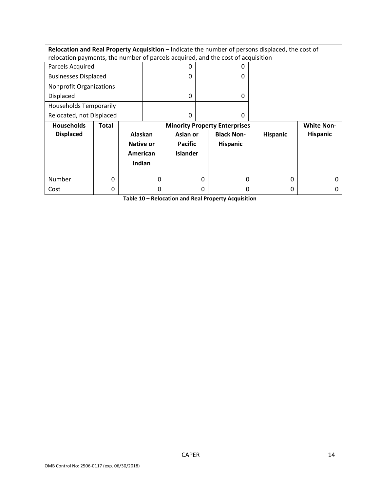**Relocation and Real Property Acquisition –** Indicate the number of persons displaced, the cost of relocation payments, the number of parcels acquired, and the cost of acquisition

| Parcels Acquired               |  |
|--------------------------------|--|
| <b>Businesses Displaced</b>    |  |
| <b>Nonprofit Organizations</b> |  |
| Displaced                      |  |
| <b>Households Temporarily</b>  |  |
| Relocated, not Displaced       |  |

| <b>Households</b> | Total    |                                                   | <b>White Non-</b>                             |                                      |          |                 |
|-------------------|----------|---------------------------------------------------|-----------------------------------------------|--------------------------------------|----------|-----------------|
| <b>Displaced</b>  |          | Alaskan<br><b>Native or</b><br>American<br>Indian | Asian or<br><b>Pacific</b><br><b>Islander</b> | <b>Black Non-</b><br><b>Hispanic</b> | Hispanic | <b>Hispanic</b> |
| Number            | $\Omega$ |                                                   | 0                                             |                                      | 0        |                 |
| Cost              |          |                                                   | 0                                             |                                      | 0        |                 |

**Table 10 – Relocation and Real Property Acquisition**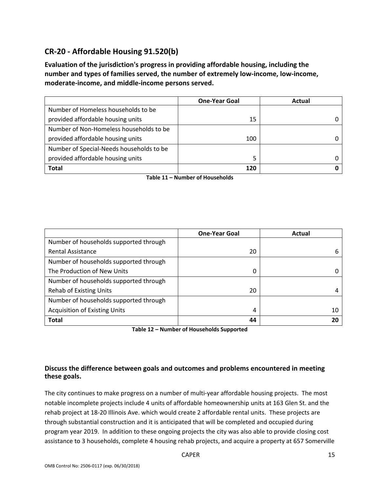# **CR‐20 ‐ Affordable Housing 91.520(b)**

**Evaluation of the jurisdiction's progress in providing affordable housing, including the number and types of families served, the number of extremely low‐income, low‐income, moderate‐income, and middle‐income persons served.**

|                                          | <b>One-Year Goal</b> | Actual |
|------------------------------------------|----------------------|--------|
| Number of Homeless households to be      |                      |        |
| provided affordable housing units        | 15                   |        |
| Number of Non-Homeless households to be  |                      |        |
| provided affordable housing units        | 100                  |        |
| Number of Special-Needs households to be |                      |        |
| provided affordable housing units        | 5                    |        |
| <b>Total</b>                             | 120                  |        |

|  | Table 11 – Number of Households |
|--|---------------------------------|
|--|---------------------------------|

|                                        | <b>One-Year Goal</b> | Actual |
|----------------------------------------|----------------------|--------|
| Number of households supported through |                      |        |
| <b>Rental Assistance</b>               | 20                   | 6      |
| Number of households supported through |                      |        |
| The Production of New Units            | 0                    |        |
| Number of households supported through |                      |        |
| <b>Rehab of Existing Units</b>         | 20                   | 4      |
| Number of households supported through |                      |        |
| <b>Acquisition of Existing Units</b>   | 4                    | 10     |
| <b>Total</b>                           | 44                   | 20     |

**Table 12 – Number of Households Supported**

# **Discuss the difference between goals and outcomes and problems encountered in meeting these goals.**

The city continues to make progress on a number of multi-year affordable housing projects. The most notable incomplete projects include 4 units of affordable homeownership units at 163 Glen St. and the rehab project at 18‐20 Illinois Ave. which would create 2 affordable rental units. These projects are through substantial construction and it is anticipated that will be completed and occupied during program year 2019. In addition to these ongoing projects the city was also able to provide closing cost assistance to 3 households, complete 4 housing rehab projects, and acquire a property at 657 Somerville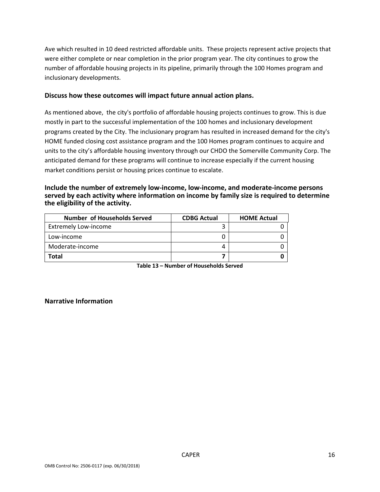Ave which resulted in 10 deed restricted affordable units. These projects represent active projects that were either complete or near completion in the prior program year. The city continues to grow the number of affordable housing projects in its pipeline, primarily through the 100 Homes program and inclusionary developments.

#### **Discuss how these outcomes will impact future annual action plans.**

As mentioned above, the city's portfolio of affordable housing projects continues to grow. This is due mostly in part to the successful implementation of the 100 homes and inclusionary development programs created by the City. The inclusionary program has resulted in increased demand for the city's HOME funded closing cost assistance program and the 100 Homes program continues to acquire and units to the city's affordable housing inventory through our CHDO the Somerville Community Corp. The anticipated demand for these programs will continue to increase especially if the current housing market conditions persist or housing prices continue to escalate.

#### **Include the number of extremely low‐income, low‐income, and moderate‐income persons served by each activity where information on income by family size is required to determine the eligibility of the activity.**

| <b>Number of Households Served</b> | <b>CDBG Actual</b> | <b>HOME Actual</b> |
|------------------------------------|--------------------|--------------------|
| <b>Extremely Low-income</b>        |                    |                    |
| Low-income                         |                    |                    |
| Moderate-income                    |                    |                    |
| Total                              |                    |                    |

**Table 13 – Number of Households Served**

#### **Narrative Information**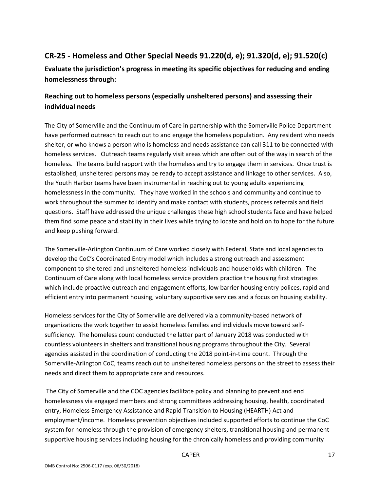# **CR‐25 ‐ Homeless and Other Special Needs 91.220(d, e); 91.320(d, e); 91.520(c)**

**Evaluate the jurisdiction's progress in meeting its specific objectives for reducing and ending homelessness through:**

# **Reaching out to homeless persons (especially unsheltered persons) and assessing their individual needs**

The City of Somerville and the Continuum of Care in partnership with the Somerville Police Department have performed outreach to reach out to and engage the homeless population. Any resident who needs shelter, or who knows a person who is homeless and needs assistance can call 311 to be connected with homeless services. Outreach teams regularly visit areas which are often out of the way in search of the homeless. The teams build rapport with the homeless and try to engage them in services. Once trust is established, unsheltered persons may be ready to accept assistance and linkage to other services. Also, the Youth Harbor teams have been instrumental in reaching out to young adults experiencing homelessness in the community. They have worked in the schools and community and continue to work throughout the summer to identify and make contact with students, process referrals and field questions. Staff have addressed the unique challenges these high school students face and have helped them find some peace and stability in their lives while trying to locate and hold on to hope for the future and keep pushing forward.

The Somerville‐Arlington Continuum of Care worked closely with Federal, State and local agencies to develop the CoC's Coordinated Entry model which includes a strong outreach and assessment component to sheltered and unsheltered homeless individuals and households with children. The Continuum of Care along with local homeless service providers practice the housing first strategies which include proactive outreach and engagement efforts, low barrier housing entry polices, rapid and efficient entry into permanent housing, voluntary supportive services and a focus on housing stability.

Homeless services for the City of Somerville are delivered via a community-based network of organizations the work together to assist homeless families and individuals move toward self‐ sufficiency. The homeless count conducted the latter part of January 2018 was conducted with countless volunteers in shelters and transitional housing programs throughout the City. Several agencies assisted in the coordination of conducting the 2018 point‐in‐time count. Through the Somerville‐Arlington CoC, teams reach out to unsheltered homeless persons on the street to assess their needs and direct them to appropriate care and resources.

The City of Somerville and the COC agencies facilitate policy and planning to prevent and end homelessness via engaged members and strong committees addressing housing, health, coordinated entry, Homeless Emergency Assistance and Rapid Transition to Housing (HEARTH) Act and employment/income. Homeless prevention objectives included supported efforts to continue the CoC system for homeless through the provision of emergency shelters, transitional housing and permanent supportive housing services including housing for the chronically homeless and providing community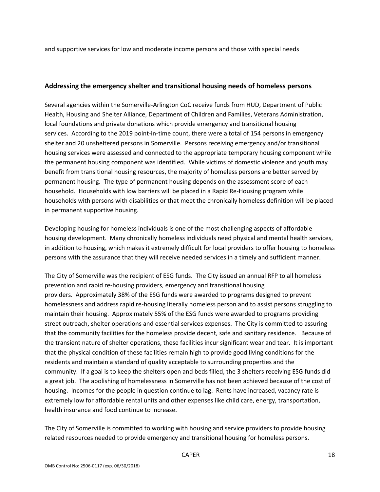and supportive services for low and moderate income persons and those with special needs

#### **Addressing the emergency shelter and transitional housing needs of homeless persons**

Several agencies within the Somerville‐Arlington CoC receive funds from HUD, Department of Public Health, Housing and Shelter Alliance, Department of Children and Families, Veterans Administration, local foundations and private donations which provide emergency and transitional housing services. According to the 2019 point-in-time count, there were a total of 154 persons in emergency shelter and 20 unsheltered persons in Somerville. Persons receiving emergency and/or transitional housing services were assessed and connected to the appropriate temporary housing component while the permanent housing component was identified. While victims of domestic violence and youth may benefit from transitional housing resources, the majority of homeless persons are better served by permanent housing. The type of permanent housing depends on the assessment score of each household. Households with low barriers will be placed in a Rapid Re‐Housing program while households with persons with disabilities or that meet the chronically homeless definition will be placed in permanent supportive housing.

Developing housing for homeless individuals is one of the most challenging aspects of affordable housing development. Many chronically homeless individuals need physical and mental health services, in addition to housing, which makes it extremely difficult for local providers to offer housing to homeless persons with the assurance that they will receive needed services in a timely and sufficient manner.

The City of Somerville was the recipient of ESG funds. The City issued an annual RFP to all homeless prevention and rapid re‐housing providers, emergency and transitional housing providers. Approximately 38% of the ESG funds were awarded to programs designed to prevent homelessness and address rapid re‐housing literally homeless person and to assist persons struggling to maintain their housing. Approximately 55% of the ESG funds were awarded to programs providing street outreach, shelter operations and essential services expenses. The City is committed to assuring that the community facilities for the homeless provide decent, safe and sanitary residence. Because of the transient nature of shelter operations, these facilities incur significant wear and tear. It is important that the physical condition of these facilities remain high to provide good living conditions for the residents and maintain a standard of quality acceptable to surrounding properties and the community. If a goal is to keep the shelters open and beds filled, the 3 shelters receiving ESG funds did a great job. The abolishing of homelessness in Somerville has not been achieved because of the cost of housing. Incomes for the people in question continue to lag. Rents have increased, vacancy rate is extremely low for affordable rental units and other expenses like child care, energy, transportation, health insurance and food continue to increase.

The City of Somerville is committed to working with housing and service providers to provide housing related resources needed to provide emergency and transitional housing for homeless persons.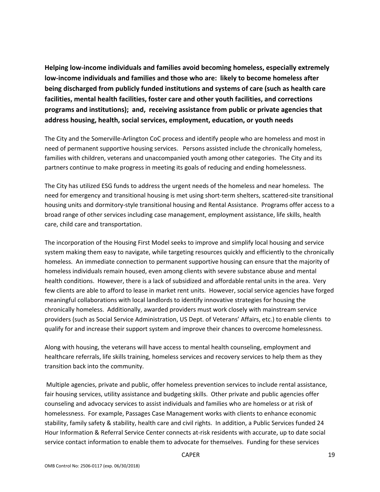**Helping low‐income individuals and families avoid becoming homeless, especially extremely low‐income individuals and families and those who are: likely to become homeless after being discharged from publicly funded institutions and systems of care (such as health care facilities, mental health facilities, foster care and other youth facilities, and corrections programs and institutions); and, receiving assistance from public or private agencies that address housing, health, social services, employment, education, or youth needs**

The City and the Somerville‐Arlington CoC process and identify people who are homeless and most in need of permanent supportive housing services. Persons assisted include the chronically homeless, families with children, veterans and unaccompanied youth among other categories. The City and its partners continue to make progress in meeting its goals of reducing and ending homelessness.

The City has utilized ESG funds to address the urgent needs of the homeless and near homeless. The need for emergency and transitional housing is met using short-term shelters, scattered-site transitional housing units and dormitory-style transitional housing and Rental Assistance. Programs offer access to a broad range of other services including case management, employment assistance, life skills, health care, child care and transportation.

The incorporation of the Housing First Model seeks to improve and simplify local housing and service system making them easy to navigate, while targeting resources quickly and efficiently to the chronically homeless. An immediate connection to permanent supportive housing can ensure that the majority of homeless individuals remain housed, even among clients with severe substance abuse and mental health conditions. However, there is a lack of subsidized and affordable rental units in the area. Very few clients are able to afford to lease in market rent units. However, social service agencies have forged meaningful collaborations with local landlords to identify innovative strategies for housing the chronically homeless. Additionally, awarded providers must work closely with mainstream service providers (such as Social Service Administration, US Dept. of Veterans' Affairs, etc.) to enable clients to qualify for and increase their support system and improve their chances to overcome homelessness.

Along with housing, the veterans will have access to mental health counseling, employment and healthcare referrals, life skills training, homeless services and recovery services to help them as they transition back into the community.

Multiple agencies, private and public, offer homeless prevention services to include rental assistance, fair housing services, utility assistance and budgeting skills. Other private and public agencies offer counseling and advocacy services to assist individuals and families who are homeless or at risk of homelessness. For example, Passages Case Management works with clients to enhance economic stability, family safety & stability, health care and civil rights. In addition, a Public Services funded 24 Hour Information & Referral Service Center connects at‐risk residents with accurate, up to date social service contact information to enable them to advocate for themselves. Funding for these services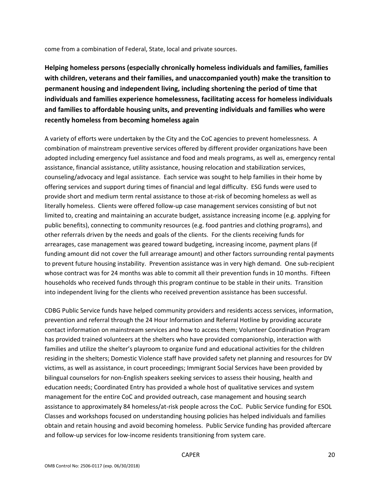come from a combination of Federal, State, local and private sources.

**Helping homeless persons (especially chronically homeless individuals and families, families with children, veterans and their families, and unaccompanied youth) make the transition to permanent housing and independent living, including shortening the period of time that individuals and families experience homelessness, facilitating access for homeless individuals and families to affordable housing units, and preventing individuals and families who were recently homeless from becoming homeless again**

A variety of efforts were undertaken by the City and the CoC agencies to prevent homelessness. A combination of mainstream preventive services offered by different provider organizations have been adopted including emergency fuel assistance and food and meals programs, as well as, emergency rental assistance, financial assistance, utility assistance, housing relocation and stabilization services, counseling/advocacy and legal assistance. Each service was sought to help families in their home by offering services and support during times of financial and legal difficulty. ESG funds were used to provide short and medium term rental assistance to those at-risk of becoming homeless as well as literally homeless. Clients were offered follow‐up case management services consisting of but not limited to, creating and maintaining an accurate budget, assistance increasing income (e.g. applying for public benefits), connecting to community resources (e.g. food pantries and clothing programs), and other referrals driven by the needs and goals of the clients. For the clients receiving funds for arrearages, case management was geared toward budgeting, increasing income, payment plans (if funding amount did not cover the full arrearage amount) and other factors surrounding rental payments to prevent future housing instability. Prevention assistance was in very high demand. One sub‐recipient whose contract was for 24 months was able to commit all their prevention funds in 10 months. Fifteen households who received funds through this program continue to be stable in their units. Transition into independent living for the clients who received prevention assistance has been successful.

CDBG Public Service funds have helped community providers and residents access services, information, prevention and referral through the 24 Hour Information and Referral Hotline by providing accurate contact information on mainstream services and how to access them; Volunteer Coordination Program has provided trained volunteers at the shelters who have provided companionship, interaction with families and utilize the shelter's playroom to organize fund and educational activities for the children residing in the shelters; Domestic Violence staff have provided safety net planning and resources for DV victims, as well as assistance, in court proceedings; Immigrant Social Services have been provided by bilingual counselors for non‐English speakers seeking services to assess their housing, health and education needs; Coordinated Entry has provided a whole host of qualitative services and system management for the entire CoC and provided outreach, case management and housing search assistance to approximately 84 homeless/at-risk people across the CoC. Public Service funding for ESOL Classes and workshops focused on understanding housing policies has helped individuals and families obtain and retain housing and avoid becoming homeless. Public Service funding has provided aftercare and follow-up services for low-income residents transitioning from system care.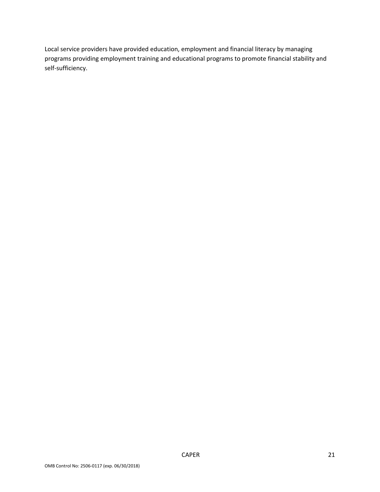Local service providers have provided education, employment and financial literacy by managing programs providing employment training and educational programs to promote financial stability and self‐sufficiency.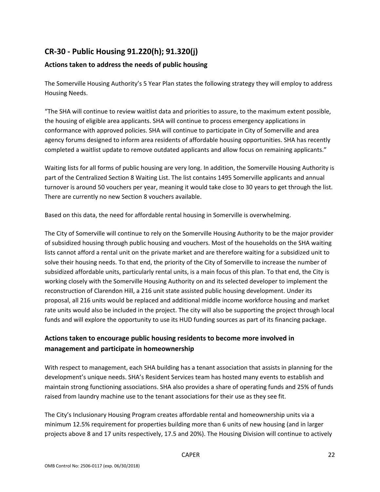# **CR‐30 ‐ Public Housing 91.220(h); 91.320(j)**

# **Actions taken to address the needs of public housing**

The Somerville Housing Authority's 5 Year Plan states the following strategy they will employ to address Housing Needs.

"The SHA will continue to review waitlist data and priorities to assure, to the maximum extent possible, the housing of eligible area applicants. SHA will continue to process emergency applications in conformance with approved policies. SHA will continue to participate in City of Somerville and area agency forums designed to inform area residents of affordable housing opportunities. SHA has recently completed a waitlist update to remove outdated applicants and allow focus on remaining applicants."

Waiting lists for all forms of public housing are very long. In addition, the Somerville Housing Authority is part of the Centralized Section 8 Waiting List. The list contains 1495 Somerville applicants and annual turnover is around 50 vouchers per year, meaning it would take close to 30 years to get through the list. There are currently no new Section 8 vouchers available.

Based on this data, the need for affordable rental housing in Somerville is overwhelming.

The City of Somerville will continue to rely on the Somerville Housing Authority to be the major provider of subsidized housing through public housing and vouchers. Most of the households on the SHA waiting lists cannot afford a rental unit on the private market and are therefore waiting for a subsidized unit to solve their housing needs. To that end, the priority of the City of Somerville to increase the number of subsidized affordable units, particularly rental units, is a main focus of this plan. To that end, the City is working closely with the Somerville Housing Authority on and its selected developer to implement the reconstruction of Clarendon Hill, a 216 unit state assisted public housing development. Under its proposal, all 216 units would be replaced and additional middle income workforce housing and market rate units would also be included in the project. The city will also be supporting the project through local funds and will explore the opportunity to use its HUD funding sources as part of its financing package.

# **Actions taken to encourage public housing residents to become more involved in management and participate in homeownership**

With respect to management, each SHA building has a tenant association that assists in planning for the development's unique needs. SHA's Resident Services team has hosted many events to establish and maintain strong functioning associations. SHA also provides a share of operating funds and 25% of funds raised from laundry machine use to the tenant associations for their use as they see fit.

The City's Inclusionary Housing Program creates affordable rental and homeownership units via a minimum 12.5% requirement for properties building more than 6 units of new housing (and in larger projects above 8 and 17 units respectively, 17.5 and 20%). The Housing Division will continue to actively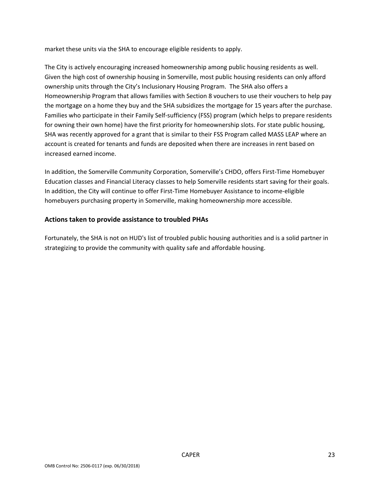market these units via the SHA to encourage eligible residents to apply.

The City is actively encouraging increased homeownership among public housing residents as well. Given the high cost of ownership housing in Somerville, most public housing residents can only afford ownership units through the City's Inclusionary Housing Program. The SHA also offers a Homeownership Program that allows families with Section 8 vouchers to use their vouchers to help pay the mortgage on a home they buy and the SHA subsidizes the mortgage for 15 years after the purchase. Families who participate in their Family Self‐sufficiency (FSS) program (which helps to prepare residents for owning their own home) have the first priority for homeownership slots. For state public housing, SHA was recently approved for a grant that is similar to their FSS Program called MASS LEAP where an account is created for tenants and funds are deposited when there are increases in rent based on increased earned income.

In addition, the Somerville Community Corporation, Somerville's CHDO, offers First-Time Homebuyer Education classes and Financial Literacy classes to help Somerville residents start saving for their goals. In addition, the City will continue to offer First-Time Homebuyer Assistance to income-eligible homebuyers purchasing property in Somerville, making homeownership more accessible.

#### **Actions taken to provide assistance to troubled PHAs**

Fortunately, the SHA is not on HUD's list of troubled public housing authorities and is a solid partner in strategizing to provide the community with quality safe and affordable housing.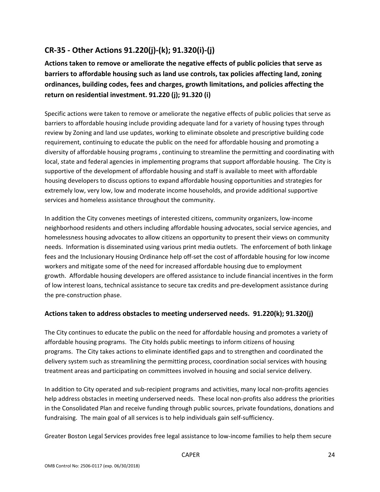# **CR‐35 ‐ Other Actions 91.220(j)‐(k); 91.320(i)‐(j)**

**Actions taken to remove or ameliorate the negative effects of public policies that serve as barriers to affordable housing such as land use controls, tax policies affecting land, zoning ordinances, building codes, fees and charges, growth limitations, and policies affecting the return on residential investment. 91.220 (j); 91.320 (i)**

Specific actions were taken to remove or ameliorate the negative effects of public policies that serve as barriers to affordable housing include providing adequate land for a variety of housing types through review by Zoning and land use updates, working to eliminate obsolete and prescriptive building code requirement, continuing to educate the public on the need for affordable housing and promoting a diversity of affordable housing programs , continuing to streamline the permitting and coordinating with local, state and federal agencies in implementing programs that support affordable housing. The City is supportive of the development of affordable housing and staff is available to meet with affordable housing developers to discuss options to expand affordable housing opportunities and strategies for extremely low, very low, low and moderate income households, and provide additional supportive services and homeless assistance throughout the community.

In addition the City convenes meetings of interested citizens, community organizers, low‐income neighborhood residents and others including affordable housing advocates, social service agencies, and homelessness housing advocates to allow citizens an opportunity to present their views on community needs. Information is disseminated using various print media outlets. The enforcement of both linkage fees and the Inclusionary Housing Ordinance help off‐set the cost of affordable housing for low income workers and mitigate some of the need for increased affordable housing due to employment growth. Affordable housing developers are offered assistance to include financial incentives in the form of low interest loans, technical assistance to secure tax credits and pre‐development assistance during the pre‐construction phase.

#### **Actions taken to address obstacles to meeting underserved needs. 91.220(k); 91.320(j)**

The City continues to educate the public on the need for affordable housing and promotes a variety of affordable housing programs. The City holds public meetings to inform citizens of housing programs. The City takes actions to eliminate identified gaps and to strengthen and coordinated the delivery system such as streamlining the permitting process, coordination social services with housing treatment areas and participating on committees involved in housing and social service delivery.

In addition to City operated and sub-recipient programs and activities, many local non-profits agencies help address obstacles in meeting underserved needs. These local non-profits also address the priorities in the Consolidated Plan and receive funding through public sources, private foundations, donations and fundraising. The main goal of all services is to help individuals gain self‐sufficiency.

Greater Boston Legal Services provides free legal assistance to low‐income families to help them secure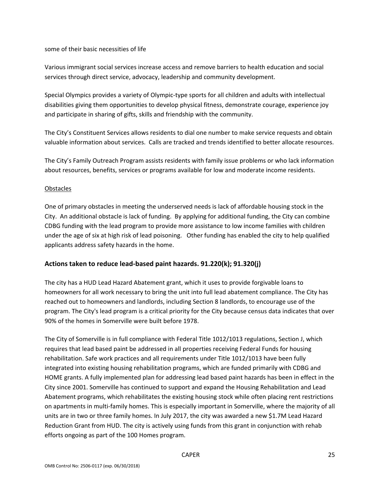some of their basic necessities of life

Various immigrant social services increase access and remove barriers to health education and social services through direct service, advocacy, leadership and community development.

Special Olympics provides a variety of Olympic‐type sports for all children and adults with intellectual disabilities giving them opportunities to develop physical fitness, demonstrate courage, experience joy and participate in sharing of gifts, skills and friendship with the community.

The City's Constituent Services allows residents to dial one number to make service requests and obtain valuable information about services. Calls are tracked and trends identified to better allocate resources.

The City's Family Outreach Program assists residents with family issue problems or who lack information about resources, benefits, services or programs available for low and moderate income residents.

#### **Obstacles**

One of primary obstacles in meeting the underserved needs is lack of affordable housing stock in the City. An additional obstacle is lack of funding. By applying for additional funding, the City can combine CDBG funding with the lead program to provide more assistance to low income families with children under the age of six at high risk of lead poisoning. Other funding has enabled the city to help qualified applicants address safety hazards in the home.

#### **Actions taken to reduce lead‐based paint hazards. 91.220(k); 91.320(j)**

The city has a HUD Lead Hazard Abatement grant, which it uses to provide forgivable loans to homeowners for all work necessary to bring the unit into full lead abatement compliance. The City has reached out to homeowners and landlords, including Section 8 landlords, to encourage use of the program. The City's lead program is a critical priority for the City because census data indicates that over 90% of the homes in Somerville were built before 1978.

The City of Somerville is in full compliance with Federal Title 1012/1013 regulations, Section J, which requires that lead based paint be addressed in all properties receiving Federal Funds for housing rehabilitation. Safe work practices and all requirements under Title 1012/1013 have been fully integrated into existing housing rehabilitation programs, which are funded primarily with CDBG and HOME grants. A fully implemented plan for addressing lead based paint hazards has been in effect in the City since 2001. Somerville has continued to support and expand the Housing Rehabilitation and Lead Abatement programs, which rehabilitates the existing housing stock while often placing rent restrictions on apartments in multi‐family homes. This is especially important in Somerville, where the majority of all units are in two or three family homes. In July 2017, the city was awarded a new \$1.7M Lead Hazard Reduction Grant from HUD. The city is actively using funds from this grant in conjunction with rehab efforts ongoing as part of the 100 Homes program.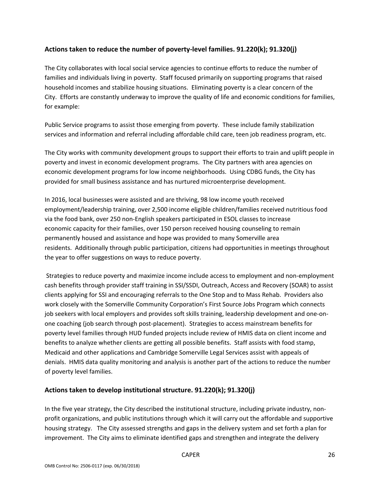# **Actions taken to reduce the number of poverty‐level families. 91.220(k); 91.320(j)**

The City collaborates with local social service agencies to continue efforts to reduce the number of families and individuals living in poverty. Staff focused primarily on supporting programs that raised household incomes and stabilize housing situations. Eliminating poverty is a clear concern of the City. Efforts are constantly underway to improve the quality of life and economic conditions for families, for example:

Public Service programs to assist those emerging from poverty. These include family stabilization services and information and referral including affordable child care, teen job readiness program, etc.

The City works with community development groups to support their efforts to train and uplift people in poverty and invest in economic development programs. The City partners with area agencies on economic development programs for low income neighborhoods. Using CDBG funds, the City has provided for small business assistance and has nurtured microenterprise development.

In 2016, local businesses were assisted and are thriving, 98 low income youth received employment/leadership training, over 2,500 income eligible children/families received nutritious food via the food bank, over 250 non‐English speakers participated in ESOL classes to increase economic capacity for their families, over 150 person received housing counseling to remain permanently housed and assistance and hope was provided to many Somerville area residents. Additionally through public participation, citizens had opportunities in meetings throughout the year to offer suggestions on ways to reduce poverty.

Strategies to reduce poverty and maximize income include access to employment and non‐employment cash benefits through provider staff training in SSI/SSDI, Outreach, Access and Recovery (SOAR) to assist clients applying for SSI and encouraging referrals to the One Stop and to Mass Rehab. Providers also work closely with the Somerville Community Corporation's First Source Jobs Program which connects job seekers with local employers and provides soft skills training, leadership development and one-onone coaching (job search through post‐placement). Strategies to access mainstream benefits for poverty level families through HUD funded projects include review of HMIS data on client income and benefits to analyze whether clients are getting all possible benefits. Staff assists with food stamp, Medicaid and other applications and Cambridge Somerville Legal Services assist with appeals of denials. HMIS data quality monitoring and analysis is another part of the actions to reduce the number of poverty level families.

#### **Actions taken to develop institutional structure. 91.220(k); 91.320(j)**

In the five year strategy, the City described the institutional structure, including private industry, non‐ profit organizations, and public institutions through which it will carry out the affordable and supportive housing strategy. The City assessed strengths and gaps in the delivery system and set forth a plan for improvement. The City aims to eliminate identified gaps and strengthen and integrate the delivery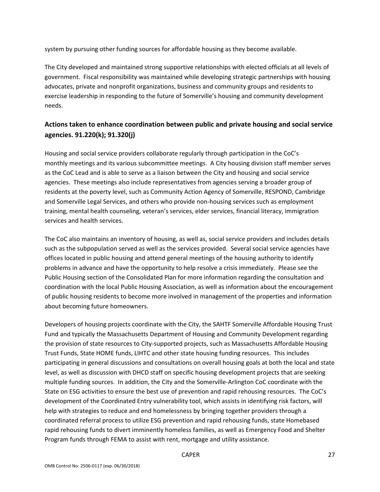system by pursuing other funding sources for affordable housing as they become available.

The City developed and maintained strong supportive relationships with elected officials at all levels of government. Fiscal responsibility was maintained while developing strategic partnerships with housing advocates, private and nonprofit organizations, business and community groups and residents to exercise leadership in responding to the future of Somerville's housing and community development needs.

# **Actions taken to enhance coordination between public and private housing and social service agencies. 91.220(k); 91.320(j)**

Housing and social service providers collaborate regularly through participation in the CoC's monthly meetings and its various subcommittee meetings. A City housing division staff member serves as the CoC Lead and is able to serve as a liaison between the City and housing and social service agencies. These meetings also include representatives from agencies serving a broader group of residents at the poverty level, such as Community Action Agency of Somerville, RESPOND, Cambridge and Somerville Legal Services, and others who provide non-housing services such as employment training, mental health counseling, veteran's services, elder services, financial literacy, immigration services and health services.

The CoC also maintains an inventory of housing, as well as, social service providers and includes details such as the subpopulation served as well as the services provided. Several social service agencies have offices located in public housing and attend general meetings of the housing authority to identify problems in advance and have the opportunity to help resolve a crisis immediately. Please see the Public Housing section of the Consolidated Plan for more information regarding the consultation and coordination with the local Public Housing Association, as well as information about the encouragement of public housing residents to become more involved in management of the properties and information about becoming future homeowners.

Developers of housing projects coordinate with the City, the SAHTF Somerville Affordable Housing Trust Fund and typically the Massachusetts Department of Housing and Community Development regarding the provision of state resources to City‐supported projects, such as Massachusetts Affordable Housing Trust Funds, State HOME funds, LIHTC and other state housing funding resources. This includes participating in general discussions and consultations on overall housing goals at both the local and state level, as well as discussion with DHCD staff on specific housing development projects that are seeking multiple funding sources. In addition, the City and the Somerville‐Arlington CoC coordinate with the State on ESG activities to ensure the best use of prevention and rapid rehousing resources. The CoC's development of the Coordinated Entry vulnerability tool, which assists in identifying risk factors, will help with strategies to reduce and end homelessness by bringing together providers through a coordinated referral process to utilize ESG prevention and rapid rehousing funds, state Homebased rapid rehousing funds to divert imminently homeless families, as well as Emergency Food and Shelter Program funds through FEMA to assist with rent, mortgage and utility assistance.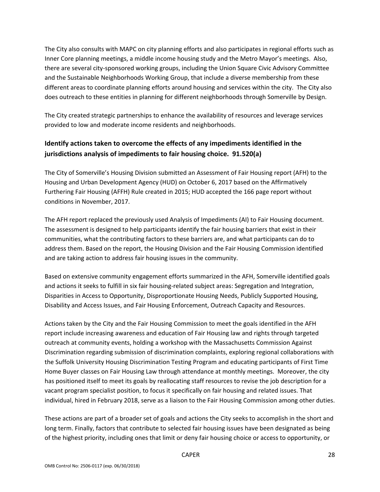The City also consults with MAPC on city planning efforts and also participates in regional efforts such as Inner Core planning meetings, a middle income housing study and the Metro Mayor's meetings. Also, there are several city-sponsored working groups, including the Union Square Civic Advisory Committee and the Sustainable Neighborhoods Working Group, that include a diverse membership from these different areas to coordinate planning efforts around housing and services within the city. The City also does outreach to these entities in planning for different neighborhoods through Somerville by Design.

The City created strategic partnerships to enhance the availability of resources and leverage services provided to low and moderate income residents and neighborhoods.

# **Identify actions taken to overcome the effects of any impediments identified in the jurisdictions analysis of impediments to fair housing choice. 91.520(a)**

The City of Somerville's Housing Division submitted an Assessment of Fair Housing report (AFH) to the Housing and Urban Development Agency (HUD) on October 6, 2017 based on the Affirmatively Furthering Fair Housing (AFFH) Rule created in 2015; HUD accepted the 166 page report without conditions in November, 2017.

The AFH report replaced the previously used Analysis of Impediments (AI) to Fair Housing document. The assessment is designed to help participants identify the fair housing barriers that exist in their communities, what the contributing factors to these barriers are, and what participants can do to address them. Based on the report, the Housing Division and the Fair Housing Commission identified and are taking action to address fair housing issues in the community.

Based on extensive community engagement efforts summarized in the AFH, Somerville identified goals and actions it seeks to fulfill in six fair housing-related subject areas: Segregation and Integration, Disparities in Access to Opportunity, Disproportionate Housing Needs, Publicly Supported Housing, Disability and Access Issues, and Fair Housing Enforcement, Outreach Capacity and Resources.

Actions taken by the City and the Fair Housing Commission to meet the goals identified in the AFH report include increasing awareness and education of Fair Housing law and rights through targeted outreach at community events, holding a workshop with the Massachusetts Commission Against Discrimination regarding submission of discrimination complaints, exploring regional collaborations with the Suffolk University Housing Discrimination Testing Program and educating participants of First Time Home Buyer classes on Fair Housing Law through attendance at monthly meetings. Moreover, the city has positioned itself to meet its goals by reallocating staff resources to revise the job description for a vacant program specialist position, to focus it specifically on fair housing and related issues. That individual, hired in February 2018, serve as a liaison to the Fair Housing Commission among other duties.

These actions are part of a broader set of goals and actions the City seeks to accomplish in the short and long term. Finally, factors that contribute to selected fair housing issues have been designated as being of the highest priority, including ones that limit or deny fair housing choice or access to opportunity, or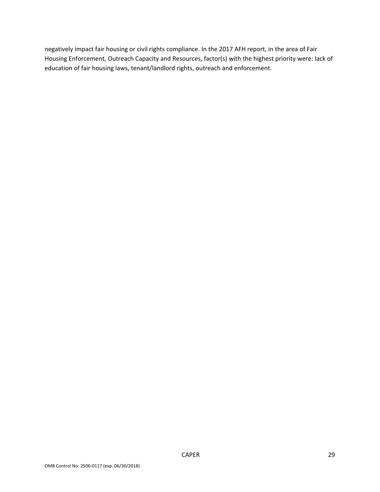negatively impact fair housing or civil rights compliance. In the 2017 AFH report, in the area of Fair Housing Enforcement, Outreach Capacity and Resources, factor(s) with the highest priority were: lack of education of fair housing laws, tenant/landlord rights, outreach and enforcement.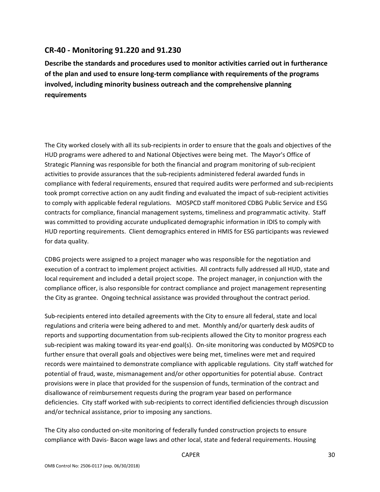# **CR‐40 ‐ Monitoring 91.220 and 91.230**

**Describe the standards and procedures used to monitor activities carried out in furtherance of the plan and used to ensure long‐term compliance with requirements of the programs involved, including minority business outreach and the comprehensive planning requirements**

The City worked closely with all its sub‐recipients in order to ensure that the goals and objectives of the HUD programs were adhered to and National Objectives were being met. The Mayor's Office of Strategic Planning was responsible for both the financial and program monitoring of sub‐recipient activities to provide assurances that the sub‐recipients administered federal awarded funds in compliance with federal requirements, ensured that required audits were performed and sub‐recipients took prompt corrective action on any audit finding and evaluated the impact of sub‐recipient activities to comply with applicable federal regulations. MOSPCD staff monitored CDBG Public Service and ESG contracts for compliance, financial management systems, timeliness and programmatic activity. Staff was committed to providing accurate unduplicated demographic information in IDIS to comply with HUD reporting requirements. Client demographics entered in HMIS for ESG participants was reviewed for data quality.

CDBG projects were assigned to a project manager who was responsible for the negotiation and execution of a contract to implement project activities. All contracts fully addressed all HUD, state and local requirement and included a detail project scope. The project manager, in conjunction with the compliance officer, is also responsible for contract compliance and project management representing the City as grantee. Ongoing technical assistance was provided throughout the contract period.

Sub‐recipients entered into detailed agreements with the City to ensure all federal, state and local regulations and criteria were being adhered to and met. Monthly and/or quarterly desk audits of reports and supporting documentation from sub-recipients allowed the City to monitor progress each sub-recipient was making toward its year-end goal(s). On-site monitoring was conducted by MOSPCD to further ensure that overall goals and objectives were being met, timelines were met and required records were maintained to demonstrate compliance with applicable regulations. City staff watched for potential of fraud, waste, mismanagement and/or other opportunities for potential abuse. Contract provisions were in place that provided for the suspension of funds, termination of the contract and disallowance of reimbursement requests during the program year based on performance deficiencies. City staff worked with sub‐recipients to correct identified deficiencies through discussion and/or technical assistance, prior to imposing any sanctions.

The City also conducted on‐site monitoring of federally funded construction projects to ensure compliance with Davis‐ Bacon wage laws and other local, state and federal requirements. Housing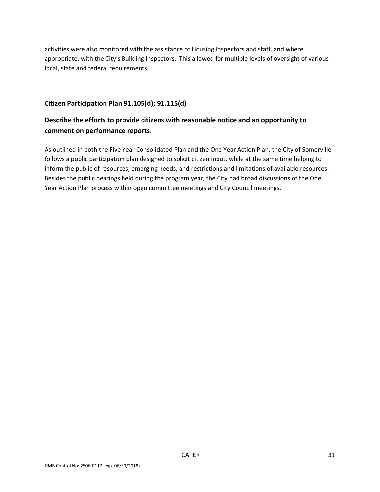activities were also monitored with the assistance of Housing Inspectors and staff, and where appropriate, with the City's Building Inspectors. This allowed for multiple levels of oversight of various local, state and federal requirements.

#### **Citizen Participation Plan 91.105(d); 91.115(d)**

# **Describe the efforts to provide citizens with reasonable notice and an opportunity to comment on performance reports**.

As outlined in both the Five Year Consolidated Plan and the One Year Action Plan, the City of Somerville follows a public participation plan designed to solicit citizen input, while at the same time helping to inform the public of resources, emerging needs, and restrictions and limitations of available resources. Besides the public hearings held during the program year, the City had broad discussions of the One Year Action Plan process within open committee meetings and City Council meetings.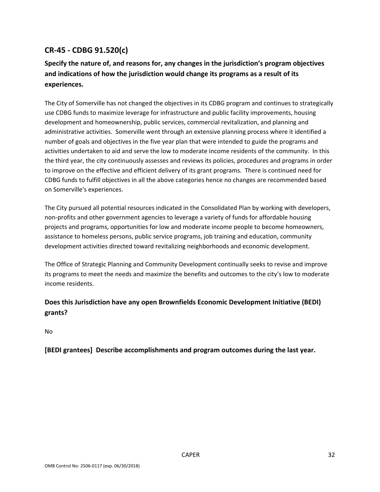# **CR‐45 ‐ CDBG 91.520(c)**

# **Specify the nature of, and reasons for, any changes in the jurisdiction's program objectives and indications of how the jurisdiction would change its programs as a result of its experiences.**

The City of Somerville has not changed the objectives in its CDBG program and continues to strategically use CDBG funds to maximize leverage for infrastructure and public facility improvements, housing development and homeownership, public services, commercial revitalization, and planning and administrative activities. Somerville went through an extensive planning process where it identified a number of goals and objectives in the five year plan that were intended to guide the programs and activities undertaken to aid and serve the low to moderate income residents of the community. In this the third year, the city continuously assesses and reviews its policies, procedures and programs in order to improve on the effective and efficient delivery of its grant programs. There is continued need for CDBG funds to fulfill objectives in all the above categories hence no changes are recommended based on Somerville's experiences.

The City pursued all potential resources indicated in the Consolidated Plan by working with developers, non‐profits and other government agencies to leverage a variety of funds for affordable housing projects and programs, opportunities for low and moderate income people to become homeowners, assistance to homeless persons, public service programs, job training and education, community development activities directed toward revitalizing neighborhoods and economic development.

The Office of Strategic Planning and Community Development continually seeks to revise and improve its programs to meet the needs and maximize the benefits and outcomes to the city's low to moderate income residents.

# **Does this Jurisdiction have any open Brownfields Economic Development Initiative (BEDI) grants?**

No

**[BEDI grantees] Describe accomplishments and program outcomes during the last year.**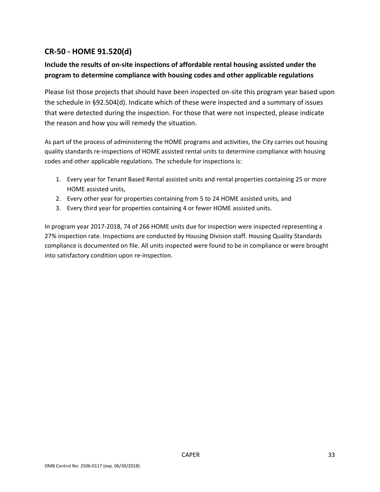# **CR‐50 ‐ HOME 91.520(d)**

# **Include the results of on‐site inspections of affordable rental housing assisted under the program to determine compliance with housing codes and other applicable regulations**

Please list those projects that should have been inspected on‐site this program year based upon the schedule in §92.504(d). Indicate which of these were inspected and a summary of issues that were detected during the inspection. For those that were not inspected, please indicate the reason and how you will remedy the situation.

As part of the process of administering the HOME programs and activities, the City carries out housing quality standards re‐inspections of HOME assisted rental units to determine compliance with housing codes and other applicable regulations. The schedule for inspections is:

- 1. Every year for Tenant Based Rental assisted units and rental properties containing 25 or more HOME assisted units,
- 2. Every other year for properties containing from 5 to 24 HOME assisted units, and
- 3. Every third year for properties containing 4 or fewer HOME assisted units.

In program year 2017‐2018, 74 of 266 HOME units due for inspection were inspected representing a 27% inspection rate. Inspections are conducted by Housing Division staff. Housing Quality Standards compliance is documented on file. All units inspected were found to be in compliance or were brought into satisfactory condition upon re‐inspection.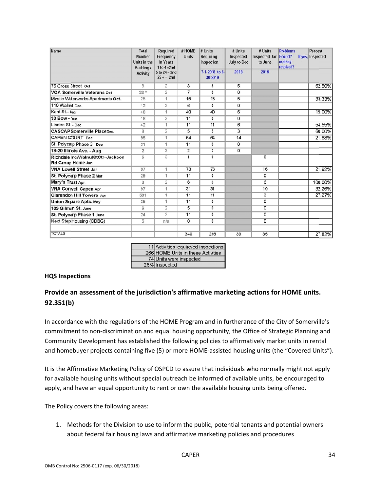| Name                                                  | <b>Total</b><br><b>Number</b><br>Units in the<br>Building /<br><b>Activity</b> | Required<br>Frequency<br>In Years<br>1 to $4 = 2nd$<br>$5$ to $24 = 2nd$<br>$25 + 2nd$ | # HOME<br><b>Units</b> | # Units<br>Requiring<br>Inspection<br>7-1-2018 to 6-<br>30-2019 | # Units<br>Inspected<br><b>July to Dec</b><br>2018 | # Units<br>Inspected Jan Found?<br>to June<br>2019 | <b>Problems</b><br>are they<br>resolved? | Percent<br>If yes, Inspected |
|-------------------------------------------------------|--------------------------------------------------------------------------------|----------------------------------------------------------------------------------------|------------------------|-----------------------------------------------------------------|----------------------------------------------------|----------------------------------------------------|------------------------------------------|------------------------------|
| 75 Cross Street Oct                                   | 8                                                                              | $\overline{c}$                                                                         | 8                      | 8                                                               | 5                                                  |                                                    |                                          | 62.50%                       |
| <b>VOA Somerville Veterans Oct</b>                    | $23 *$                                                                         | $\overline{2}$                                                                         | $\overline{7}$         | $\mathbf 0$                                                     | 0                                                  |                                                    |                                          |                              |
| Mystic Waterworks Apartments Oct.                     | 25                                                                             | 1                                                                                      | 15                     | 15                                                              | 5                                                  |                                                    |                                          | 33.33%                       |
| 110 Walnut Dec.                                       | 12                                                                             | $\overline{2}$                                                                         | 6                      | $\mathbf 0$                                                     | 0                                                  |                                                    |                                          |                              |
| Kent St.- Dec                                         | 40                                                                             | 1                                                                                      | 40                     | 40                                                              | 6                                                  |                                                    |                                          | 15.00%                       |
| 33 Bow - Dec                                          | 18                                                                             | $\overline{2}$                                                                         | 11                     | 0                                                               | 0                                                  |                                                    |                                          |                              |
| Linden St. - Dec                                      | 42                                                                             | 1                                                                                      | 11                     | 11                                                              | 6                                                  |                                                    |                                          | 54.55%                       |
| <b>CASCAP Somerville PlaceDec.</b>                    | 8                                                                              | 2                                                                                      | 5                      | 5                                                               | 3                                                  |                                                    |                                          | 60.00%                       |
| <b>CAPEN COURT Dec</b>                                | 95                                                                             | 1                                                                                      | 64                     | 64                                                              | 14                                                 |                                                    |                                          | 21.88%                       |
| St. Polycarp Phase 3 Dec                              | 31                                                                             | 1                                                                                      | 11                     | 0                                                               | 0                                                  |                                                    |                                          |                              |
| 18-20 Illinois Ave. - Aug                             | $\overline{2}$                                                                 | 3                                                                                      | $\overline{2}$         | $\overline{2}$                                                  | 0                                                  |                                                    |                                          |                              |
| Richdale Inc/WalnutStCtr-Jackson<br>Rd Group Home Jan | Б                                                                              | 3                                                                                      | $\mathbf{1}$           | 0                                                               |                                                    | o                                                  |                                          |                              |
| <b>VNA Lowell Street Jan</b>                          | 97                                                                             | 1                                                                                      | 73                     | 73                                                              |                                                    | 16                                                 |                                          | 21.92%                       |
| St. Polycarp Phase 2 Mar                              | 29                                                                             | 1                                                                                      | 11                     | 0                                                               |                                                    | 0                                                  |                                          |                              |
| Mary's Trust Apr.                                     | 8                                                                              | $\overline{c}$                                                                         | 6                      | 6                                                               |                                                    | 6                                                  |                                          | 100.00%                      |
| <b>VNA Conwell Capen Apr</b>                          | 97                                                                             | 1                                                                                      | 31                     | 31                                                              |                                                    | 10                                                 |                                          | 32.26%                       |
| <b>Clarendon Hill Towers Apr</b>                      | 501                                                                            | 1                                                                                      | 11                     | 11                                                              |                                                    | з                                                  |                                          | 27.27%                       |
| <b>Union Square Apts. May</b>                         | 35                                                                             | 1                                                                                      | 11                     | 0                                                               |                                                    | 0                                                  |                                          |                              |
| 109 Gilman St. June                                   | 6                                                                              | $\overline{2}$                                                                         | 5                      | 0                                                               |                                                    | 0                                                  |                                          |                              |
| St. Polycarp Phase 1 June                             | 24                                                                             | $\overline{2}$                                                                         | 11                     | $\bf{0}$                                                        |                                                    | $\overline{0}$                                     |                                          |                              |
| <b>Next Step Housing (CDBG)</b>                       | 6                                                                              | n/a                                                                                    | $\mathbf 0$            | 0                                                               |                                                    | 0                                                  |                                          |                              |
| <b>TOTALS</b>                                         |                                                                                |                                                                                        | 340                    | 266                                                             | 39                                                 | 35                                                 |                                          | 27.82%                       |

| 11 Activities require/ed inspections |
|--------------------------------------|
| 266 HOME Units in these Activities   |
| 74 Units were inspected              |
| 28% Inspected                        |

#### **HQS Inspe ections**

# Provide an assessment of the jurisdiction's affirmative marketing actions for HOME units. **92.351(b b)**

In accordance with the regulations of the HOME Program and in furtherance of the City of Somerville's commitment to non-discrimination and equal housing opportunity, the Office of Strategic Planning and Community Development has established the following policies to affirmatively market units in rental and homebuyer projects containing five (5) or more HOME-assisted housing units (the "Covered Units").

It is the Affirmative Marketing Policy of OSPCD to assure that individuals who normally might not apply for available housing units without special outreach be informed of available units, be encouraged to apply, and have an equal opportunity to rent or own the available housing units being offered.

The Policy covers the following areas:

1. Methods for the Division to use to inform the public, potential tenants and potential owners about federal fair housing laws and affirmative marketing policies and procedures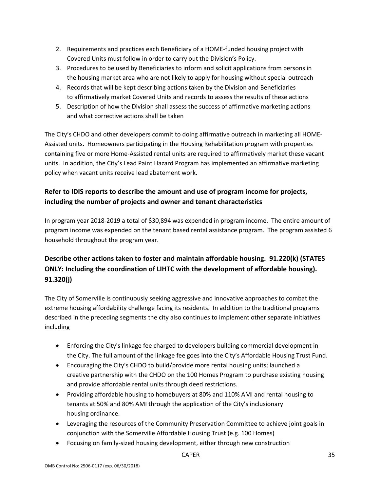- 2. Requirements and practices each Beneficiary of a HOME‐funded housing project with Covered Units must follow in order to carry out the Division's Policy.
- 3. Procedures to be used by Beneficiaries to inform and solicit applications from persons in the housing market area who are not likely to apply for housing without special outreach
- 4. Records that will be kept describing actions taken by the Division and Beneficiaries to affirmatively market Covered Units and records to assess the results of these actions
- 5. Description of how the Division shall assess the success of affirmative marketing actions and what corrective actions shall be taken

The City's CHDO and other developers commit to doing affirmative outreach in marketing all HOME‐ Assisted units. Homeowners participating in the Housing Rehabilitation program with properties containing five or more Home‐Assisted rental units are required to affirmatively market these vacant units. In addition, the City's Lead Paint Hazard Program has implemented an affirmative marketing policy when vacant units receive lead abatement work.

# **Refer to IDIS reports to describe the amount and use of program income for projects, including the number of projects and owner and tenant characteristics**

In program year 2018‐2019 a total of \$30,894 was expended in program income. The entire amount of program income was expended on the tenant based rental assistance program. The program assisted 6 household throughout the program year.

# **Describe other actions taken to foster and maintain affordable housing. 91.220(k) (STATES ONLY: Including the coordination of LIHTC with the development of affordable housing). 91.320(j)**

The City of Somerville is continuously seeking aggressive and innovative approaches to combat the extreme housing affordability challenge facing its residents. In addition to the traditional programs described in the preceding segments the city also continues to implement other separate initiatives including

- Enforcing the City's linkage fee charged to developers building commercial development in the City. The full amount of the linkage fee goes into the City's Affordable Housing Trust Fund.
- Encouraging the City's CHDO to build/provide more rental housing units; launched a creative partnership with the CHDO on the 100 Homes Program to purchase existing housing and provide affordable rental units through deed restrictions.
- Providing affordable housing to homebuyers at 80% and 110% AMI and rental housing to tenants at 50% and 80% AMI through the application of the City's inclusionary housing ordinance.
- Leveraging the resources of the Community Preservation Committee to achieve joint goals in conjunction with the Somerville Affordable Housing Trust (e.g. 100 Homes)
- Focusing on family‐sized housing development, either through new construction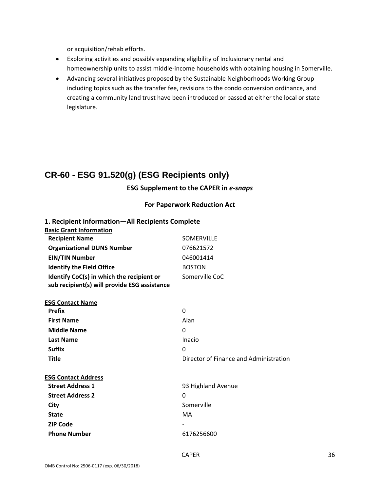or acquisition/rehab efforts.

- Exploring activities and possibly expanding eligibility of Inclusionary rental and homeownership units to assist middle‐income households with obtaining housing in Somerville.
- Advancing several initiatives proposed by the Sustainable Neighborhoods Working Group including topics such as the transfer fee, revisions to the condo conversion ordinance, and creating a community land trust have been introduced or passed at either the local or state legislature.

# **CR-60 - ESG 91.520(g) (ESG Recipients only)**

**1. Recipient Information—All Recipients Complete**

# **ESG Supplement to the CAPER in** *e‐snaps*

#### **For Paperwork Reduction Act**

| <b>Basic Grant Information</b>               |                                        |
|----------------------------------------------|----------------------------------------|
| <b>Recipient Name</b>                        | <b>SOMERVILLE</b>                      |
| <b>Organizational DUNS Number</b>            | 076621572                              |
| <b>EIN/TIN Number</b>                        | 046001414                              |
| <b>Identify the Field Office</b>             | <b>BOSTON</b>                          |
| Identify CoC(s) in which the recipient or    | Somerville CoC                         |
| sub recipient(s) will provide ESG assistance |                                        |
| <b>ESG Contact Name</b>                      |                                        |
| <b>Prefix</b>                                | $\Omega$                               |
| <b>First Name</b>                            | Alan                                   |
| <b>Middle Name</b>                           | $\Omega$                               |
| <b>Last Name</b>                             | Inacio                                 |
| <b>Suffix</b>                                | 0                                      |
| <b>Title</b>                                 | Director of Finance and Administration |
| <b>ESG Contact Address</b>                   |                                        |
| <b>Street Address 1</b>                      | 93 Highland Avenue                     |
| <b>Street Address 2</b>                      | 0                                      |
| City                                         | Somerville                             |
| <b>State</b>                                 | MA                                     |
| <b>ZIP Code</b>                              |                                        |
| <b>Phone Number</b>                          | 6176256600                             |
|                                              |                                        |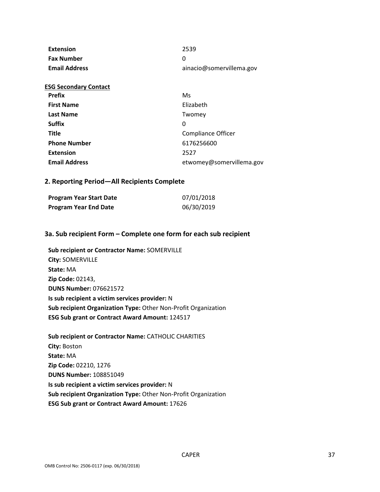| Extension            | 2539                     |
|----------------------|--------------------------|
| <b>Fax Number</b>    |                          |
| <b>Email Address</b> | ainacio@somervillema.gov |

| <b>ESG Secondary Contact</b> |                           |
|------------------------------|---------------------------|
| <b>Prefix</b>                | Ms                        |
| <b>First Name</b>            | Elizabeth                 |
| <b>Last Name</b>             | Twomey                    |
| <b>Suffix</b>                | 0                         |
| <b>Title</b>                 | <b>Compliance Officer</b> |
| <b>Phone Number</b>          | 6176256600                |
| <b>Extension</b>             | 2527                      |
| <b>Email Address</b>         | etwomey@somervillema.gov  |

#### **2. Reporting Period—All Recipients Complete**

| Program Year Start Date      | 07/01/2018 |
|------------------------------|------------|
| <b>Program Year End Date</b> | 06/30/2019 |

#### **3a. Sub recipient Form – Complete one form for each sub recipient**

**Sub recipient or Contractor Name:** SOMERVILLE **City:** SOMERVILLE **State:** MA **Zip Code:** 02143, **DUNS Number:** 076621572 **Is sub recipient a victim services provider:** N **Sub recipient Organization Type:** Other Non‐Profit Organization **ESG Sub grant or Contract Award Amount:** 124517

**Sub recipient or Contractor Name:** CATHOLIC CHARITIES **City:** Boston **State:** MA **Zip Code:** 02210, 1276 **DUNS Number:** 108851049 **Is sub recipient a victim services provider:** N **Sub recipient Organization Type:** Other Non‐Profit Organization **ESG Sub grant or Contract Award Amount:** 17626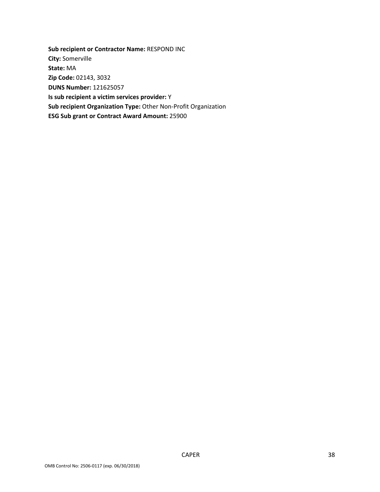**Sub recipient or Contractor Name:** RESPOND INC **City:** Somerville **State:** MA **Zip Code:** 02143, 3032 **DUNS Number:** 121625057 **Is sub recipient a victim services provider:** Y **Sub recipient Organization Type:** Other Non‐Profit Organization **ESG Sub grant or Contract Award Amount:** 25900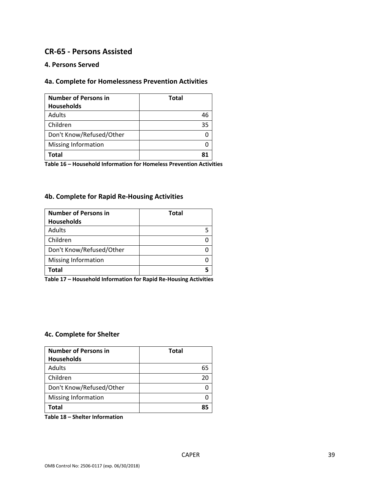# **CR‐65 ‐ Persons Assisted**

#### **4. Persons Served**

# **4a. Complete for Homelessness Prevention Activities**

| <b>Number of Persons in</b><br><b>Households</b> | <b>Total</b> |
|--------------------------------------------------|--------------|
| Adults                                           |              |
| Children                                         | 35           |
| Don't Know/Refused/Other                         |              |
| <b>Missing Information</b>                       |              |
| <b>Total</b>                                     |              |

**Table 16 – Household Information for Homeless Prevention Activities**

# **4b. Complete for Rapid Re‐Housing Activities**

| <b>Number of Persons in</b> | <b>Total</b> |
|-----------------------------|--------------|
| <b>Households</b>           |              |
| Adults                      |              |
| Children                    |              |
| Don't Know/Refused/Other    |              |
| <b>Missing Information</b>  |              |
| Total                       |              |

**Table 17 – Household Information for Rapid Re‐Housing Activities**

# **4c. Complete for Shelter**

| <b>Number of Persons in</b><br><b>Households</b> | <b>Total</b> |
|--------------------------------------------------|--------------|
| Adults                                           | 65           |
| Children                                         | 20           |
| Don't Know/Refused/Other                         |              |
| <b>Missing Information</b>                       |              |
| Total                                            | 85           |

**Table 18 – Shelter Information**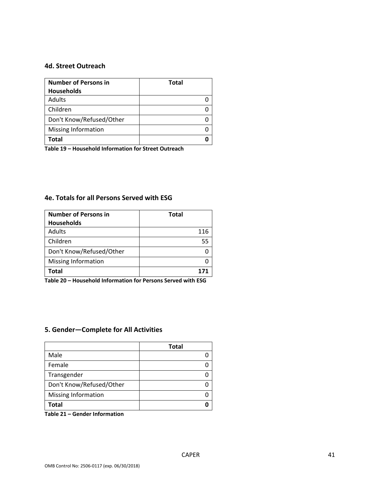#### **4d. Street Outreach**

| <b>Number of Persons in</b> | <b>Total</b> |
|-----------------------------|--------------|
| <b>Households</b>           |              |
| <b>Adults</b>               |              |
| Children                    |              |
| Don't Know/Refused/Other    |              |
| Missing Information         |              |
| Total                       |              |

**Table 19 – Household Information for Street Outreach** 

#### **4e. Totals for all Persons Served with ESG**

| <b>Number of Persons in</b> | <b>Total</b> |
|-----------------------------|--------------|
| <b>Households</b>           |              |
| Adults                      | 116          |
| Children                    | 55           |
| Don't Know/Refused/Other    |              |
| <b>Missing Information</b>  |              |
| Total                       |              |

**Table 20 – Household Information for Persons Served with ESG**

# **5. Gender—Complete for All Activities**

|                            | <b>Total</b> |
|----------------------------|--------------|
| Male                       |              |
| Female                     |              |
| Transgender                |              |
| Don't Know/Refused/Other   |              |
| <b>Missing Information</b> |              |
| <b>Total</b>               |              |

**Table 21 – Gender Information**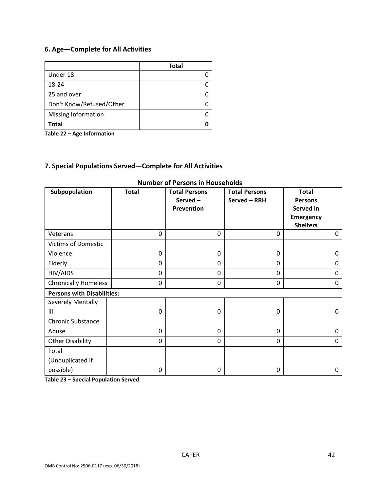# **6. Age—Complete for All Activities**

|                          | <b>Total</b> |
|--------------------------|--------------|
| Under 18                 |              |
| 18-24                    |              |
| 25 and over              |              |
| Don't Know/Refused/Other |              |
| Missing Information      |              |
| <b>Total</b>             |              |

**Table 22 – Age Information**

# **7. Special Populations Served—Complete for All Activities**

| Subpopulation                     | <b>Total</b> | <b>Total Persons</b><br>Served-<br>Prevention | <b>Total Persons</b><br>Served - RRH | <b>Total</b><br><b>Persons</b><br>Served in<br><b>Emergency</b><br><b>Shelters</b> |
|-----------------------------------|--------------|-----------------------------------------------|--------------------------------------|------------------------------------------------------------------------------------|
| Veterans                          | $\mathbf 0$  | $\mathbf 0$                                   | 0                                    | $\Omega$                                                                           |
| <b>Victims of Domestic</b>        |              |                                               |                                      |                                                                                    |
| Violence                          | 0            | $\Omega$                                      | 0                                    | 0                                                                                  |
| Elderly                           | $\Omega$     | $\Omega$                                      | $\Omega$                             | $\Omega$                                                                           |
| HIV/AIDS                          | 0            | 0                                             | 0                                    | 0                                                                                  |
| <b>Chronically Homeless</b>       | $\Omega$     | $\Omega$                                      | $\Omega$                             | $\Omega$                                                                           |
| <b>Persons with Disabilities:</b> |              |                                               |                                      |                                                                                    |
| Severely Mentally                 |              |                                               |                                      |                                                                                    |
| Ш                                 | $\mathbf 0$  | $\mathbf 0$                                   | 0                                    | 0                                                                                  |
| <b>Chronic Substance</b>          |              |                                               |                                      |                                                                                    |
| Abuse                             | 0            | $\mathbf 0$                                   | $\mathbf 0$                          | 0                                                                                  |
| <b>Other Disability</b>           | 0            | 0                                             | $\mathbf 0$                          | 0                                                                                  |
| Total                             |              |                                               |                                      |                                                                                    |
| (Unduplicated if                  |              |                                               |                                      |                                                                                    |
| possible)                         | 0            | 0                                             | 0                                    | 0                                                                                  |

# **Number of Persons in Households**

**Table 23 – Special Population Served**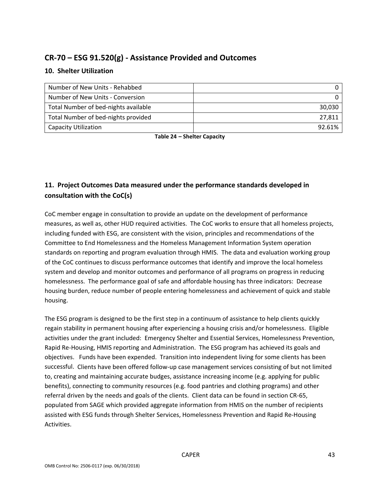# **CR‐70 – ESG 91.520(g) ‐ Assistance Provided and Outcomes**

# **10. Shelter Utilization**

| Number of New Units - Rehabbed       |        |
|--------------------------------------|--------|
| Number of New Units - Conversion     |        |
| Total Number of bed-nights available | 30,030 |
| Total Number of bed-nights provided  | 27.811 |
| <b>Capacity Utilization</b>          | 92.61% |

**Table 24 – Shelter Capacity**

# **11. Project Outcomes Data measured under the performance standards developed in consultation with the CoC(s)**

CoC member engage in consultation to provide an update on the development of performance measures, as well as, other HUD required activities. The CoC works to ensure that all homeless projects, including funded with ESG, are consistent with the vision, principles and recommendations of the Committee to End Homelessness and the Homeless Management Information System operation standards on reporting and program evaluation through HMIS. The data and evaluation working group of the CoC continues to discuss performance outcomes that identify and improve the local homeless system and develop and monitor outcomes and performance of all programs on progress in reducing homelessness. The performance goal of safe and affordable housing has three indicators: Decrease housing burden, reduce number of people entering homelessness and achievement of quick and stable housing.

The ESG program is designed to be the first step in a continuum of assistance to help clients quickly regain stability in permanent housing after experiencing a housing crisis and/or homelessness. Eligible activities under the grant included: Emergency Shelter and Essential Services, Homelessness Prevention, Rapid Re‐Housing, HMIS reporting and Administration. The ESG program has achieved its goals and objectives. Funds have been expended. Transition into independent living for some clients has been successful. Clients have been offered follow-up case management services consisting of but not limited to, creating and maintaining accurate budges, assistance increasing income (e.g. applying for public benefits), connecting to community resources (e.g. food pantries and clothing programs) and other referral driven by the needs and goals of the clients. Client data can be found in section CR‐65, populated from SAGE which provided aggregate information from HMIS on the number of recipients assisted with ESG funds through Shelter Services, Homelessness Prevention and Rapid Re‐Housing Activities.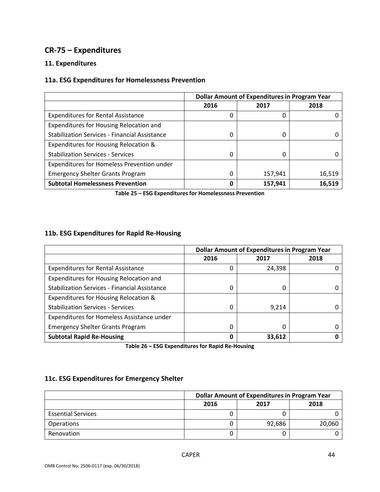# **CR‐75 – Expenditures**

# **11. Expenditures**

# **11a. ESG Expenditures for Homelessness Prevention**

|                                                      | <b>Dollar Amount of Expenditures in Program Year</b> |         |        |
|------------------------------------------------------|------------------------------------------------------|---------|--------|
|                                                      | 2016                                                 | 2017    | 2018   |
| <b>Expenditures for Rental Assistance</b>            | 0                                                    | 0       |        |
| Expenditures for Housing Relocation and              |                                                      |         |        |
| <b>Stabilization Services - Financial Assistance</b> | 0                                                    | 0       |        |
| Expenditures for Housing Relocation &                |                                                      |         |        |
| <b>Stabilization Services - Services</b>             | 0                                                    | 0       |        |
| Expenditures for Homeless Prevention under           |                                                      |         |        |
| <b>Emergency Shelter Grants Program</b>              | 0                                                    | 157,941 | 16,519 |
| <b>Subtotal Homelessness Prevention</b>              | 0                                                    | 157,941 | 16,519 |

**Table 25 – ESG Expenditures for Homelessness Prevention**

# **11b. ESG Expenditures for Rapid Re‐Housing**

|                                                      | <b>Dollar Amount of Expenditures in Program Year</b> |        |      |
|------------------------------------------------------|------------------------------------------------------|--------|------|
|                                                      | 2016                                                 | 2017   | 2018 |
| <b>Expenditures for Rental Assistance</b>            | 0                                                    | 24,398 |      |
| Expenditures for Housing Relocation and              |                                                      |        |      |
| <b>Stabilization Services - Financial Assistance</b> | 0                                                    | 0      |      |
| Expenditures for Housing Relocation &                |                                                      |        |      |
| <b>Stabilization Services - Services</b>             | 0                                                    | 9,214  |      |
| Expenditures for Homeless Assistance under           |                                                      |        |      |
| <b>Emergency Shelter Grants Program</b>              | 0                                                    | 0      |      |
| <b>Subtotal Rapid Re-Housing</b>                     | 0                                                    | 33,612 |      |

**Table 26 – ESG Expenditures for Rapid Re‐Housing**

# **11c. ESG Expenditures for Emergency Shelter**

|                           | <b>Dollar Amount of Expenditures in Program Year</b> |        |        |
|---------------------------|------------------------------------------------------|--------|--------|
|                           | 2016                                                 | 2017   | 2018   |
| <b>Essential Services</b> |                                                      |        |        |
| <b>Operations</b>         |                                                      | 92,686 | 20,060 |
| Renovation                |                                                      |        |        |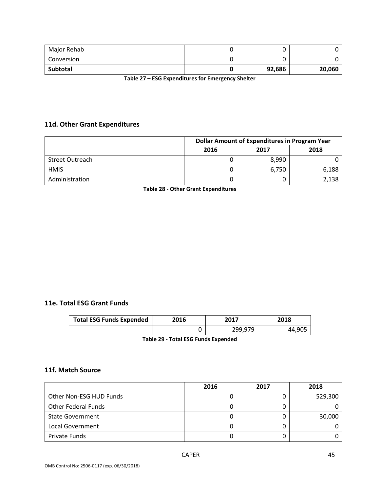| Major Rehab | ັ      |        |
|-------------|--------|--------|
| Conversion  | ັ      |        |
| Subtotal    | 92,686 | 20,060 |

**Table 27 – ESG Expenditures for Emergency Shelter**

# **11d. Other Grant Expenditures**

|                        | <b>Dollar Amount of Expenditures in Program Year</b> |       |       |
|------------------------|------------------------------------------------------|-------|-------|
|                        | 2016                                                 | 2017  | 2018  |
| <b>Street Outreach</b> |                                                      | 8,990 |       |
| <b>HMIS</b>            |                                                      | 6,750 | 6,188 |
| Administration         |                                                      |       | 2,138 |

**Table 28 ‐ Other Grant Expenditures**

#### **11e. Total ESG Grant Funds**

| <b>Total ESG Funds Expended</b> | 2016 | 2017    | 2018   |
|---------------------------------|------|---------|--------|
|                                 |      | 299,979 | 44,905 |

**Table 29 ‐ Total ESG Funds Expended**

#### **11f. Match Source**

|                            | 2016 | 2017 | 2018    |
|----------------------------|------|------|---------|
| Other Non-ESG HUD Funds    |      |      | 529,300 |
| <b>Other Federal Funds</b> |      |      |         |
| <b>State Government</b>    |      |      | 30,000  |
| <b>Local Government</b>    |      |      |         |
| Private Funds              |      |      |         |